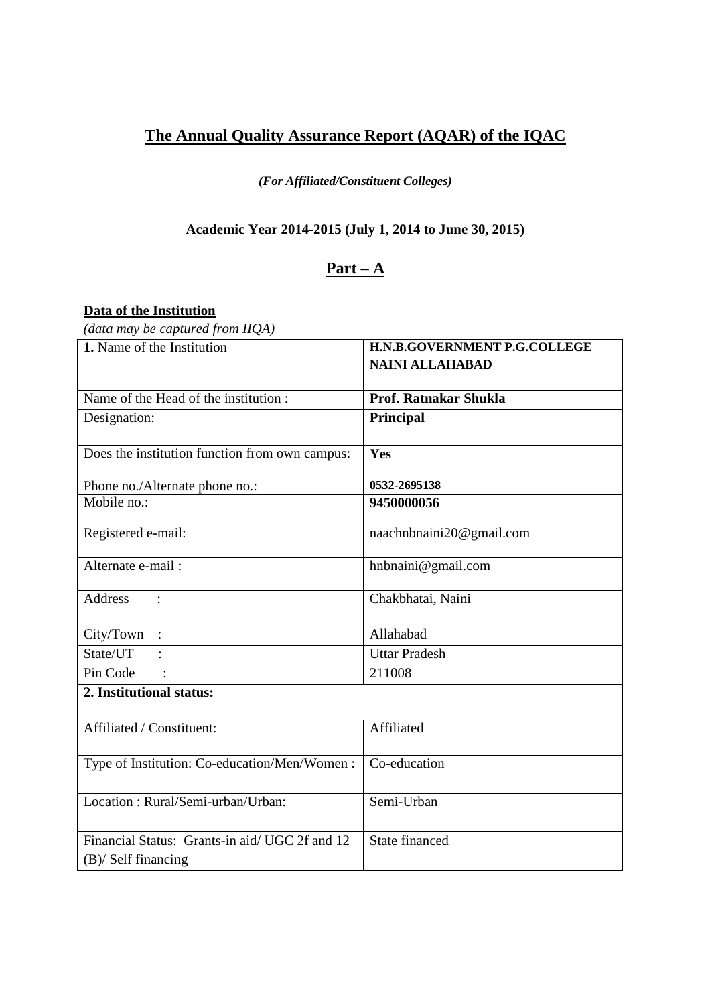# **The Annual Quality Assurance Report (AQAR) of the IQAC**

#### *(For Affiliated/Constituent Colleges)*

## **Academic Year 2014-2015 (July 1, 2014 to June 30, 2015)**

## **Part – A**

## **Data of the Institution**

*(data may be captured from IIQA)*

| 1. Name of the Institution                                             | H.N.B.GOVERNMENT P.G.COLLEGE<br><b>NAINI ALLAHABAD</b> |  |  |  |  |
|------------------------------------------------------------------------|--------------------------------------------------------|--|--|--|--|
|                                                                        |                                                        |  |  |  |  |
| Name of the Head of the institution:                                   | Prof. Ratnakar Shukla                                  |  |  |  |  |
| Designation:                                                           | Principal                                              |  |  |  |  |
| Does the institution function from own campus:                         | Yes                                                    |  |  |  |  |
| Phone no./Alternate phone no.:                                         | 0532-2695138                                           |  |  |  |  |
| Mobile no.:                                                            | 9450000056                                             |  |  |  |  |
| Registered e-mail:                                                     | naachnbnaini20@gmail.com                               |  |  |  |  |
| Alternate e-mail:                                                      | hnbnaini@gmail.com                                     |  |  |  |  |
| <b>Address</b><br>$\ddot{\cdot}$                                       | Chakbhatai, Naini                                      |  |  |  |  |
| City/Town<br>$\therefore$                                              | Allahabad                                              |  |  |  |  |
| State/UT                                                               | <b>Uttar Pradesh</b>                                   |  |  |  |  |
| Pin Code<br>$\cdot$                                                    | 211008                                                 |  |  |  |  |
| 2. Institutional status:                                               |                                                        |  |  |  |  |
| Affiliated / Constituent:                                              | Affiliated                                             |  |  |  |  |
| Type of Institution: Co-education/Men/Women:                           | Co-education                                           |  |  |  |  |
| Location: Rural/Semi-urban/Urban:                                      | Semi-Urban                                             |  |  |  |  |
| Financial Status: Grants-in aid/ UGC 2f and 12<br>$(B)$ Self financing | State financed                                         |  |  |  |  |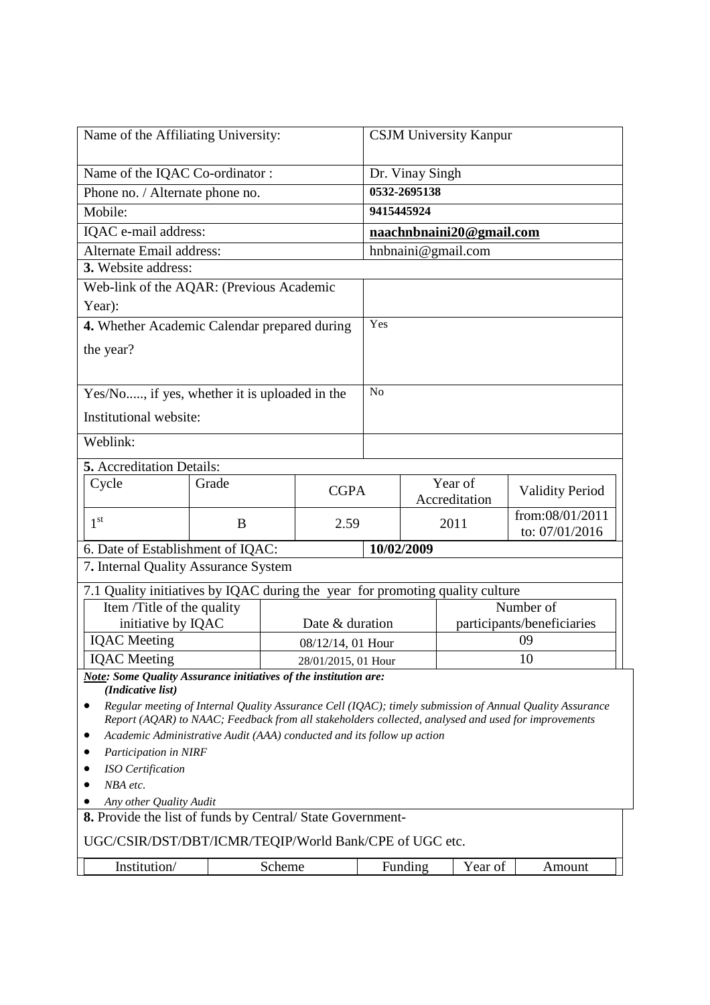| Name of the Affiliating University:                                                                 |       |        |                      | <b>CSJM University Kanpur</b> |                    |                          |                                                                                                          |  |  |
|-----------------------------------------------------------------------------------------------------|-------|--------|----------------------|-------------------------------|--------------------|--------------------------|----------------------------------------------------------------------------------------------------------|--|--|
| Name of the IQAC Co-ordinator:                                                                      |       |        |                      |                               | Dr. Vinay Singh    |                          |                                                                                                          |  |  |
| Phone no. / Alternate phone no.                                                                     |       |        |                      |                               | 0532-2695138       |                          |                                                                                                          |  |  |
| Mobile:                                                                                             |       |        |                      |                               | 9415445924         |                          |                                                                                                          |  |  |
| IQAC e-mail address:                                                                                |       |        |                      |                               |                    | naachnbnaini20@gmail.com |                                                                                                          |  |  |
| Alternate Email address:                                                                            |       |        |                      |                               | hnbnaini@gmail.com |                          |                                                                                                          |  |  |
| 3. Website address:                                                                                 |       |        |                      |                               |                    |                          |                                                                                                          |  |  |
| Web-link of the AQAR: (Previous Academic                                                            |       |        |                      |                               |                    |                          |                                                                                                          |  |  |
| Year):                                                                                              |       |        |                      |                               |                    |                          |                                                                                                          |  |  |
| 4. Whether Academic Calendar prepared during                                                        |       |        |                      | Yes                           |                    |                          |                                                                                                          |  |  |
| the year?                                                                                           |       |        |                      |                               |                    |                          |                                                                                                          |  |  |
|                                                                                                     |       |        |                      |                               |                    |                          |                                                                                                          |  |  |
| Yes/No, if yes, whether it is uploaded in the                                                       |       |        |                      | N <sub>o</sub>                |                    |                          |                                                                                                          |  |  |
| Institutional website:                                                                              |       |        |                      |                               |                    |                          |                                                                                                          |  |  |
|                                                                                                     |       |        |                      |                               |                    |                          |                                                                                                          |  |  |
| Weblink:                                                                                            |       |        |                      |                               |                    |                          |                                                                                                          |  |  |
| 5. Accreditation Details:                                                                           |       |        |                      |                               |                    |                          |                                                                                                          |  |  |
| Cycle                                                                                               | Grade |        | <b>CGPA</b>          |                               |                    | Year of                  | <b>Validity Period</b>                                                                                   |  |  |
|                                                                                                     |       |        |                      |                               | Accreditation      |                          | from:08/01/2011                                                                                          |  |  |
| 1 <sup>st</sup>                                                                                     | B     |        | 2.59                 |                               |                    | 2011                     | to: 07/01/2016                                                                                           |  |  |
| 6. Date of Establishment of IQAC:                                                                   |       |        |                      |                               | 10/02/2009         |                          |                                                                                                          |  |  |
| 7. Internal Quality Assurance System                                                                |       |        |                      |                               |                    |                          |                                                                                                          |  |  |
| 7.1 Quality initiatives by IQAC during the year for promoting quality culture                       |       |        |                      |                               |                    |                          |                                                                                                          |  |  |
| Item /Title of the quality                                                                          |       |        |                      | Number of                     |                    |                          |                                                                                                          |  |  |
| initiative by IQAC                                                                                  |       |        | Date & duration      | participants/beneficiaries    |                    |                          |                                                                                                          |  |  |
| <b>IQAC</b> Meeting                                                                                 |       |        | $08/12/14$ , 01 Hour |                               |                    |                          | 09                                                                                                       |  |  |
| <b>IQAC</b> Meeting<br>Note: Some Quality Assurance initiatives of the institution are:             |       |        | 28/01/2015, 01 Hour  |                               |                    |                          | 10                                                                                                       |  |  |
| (Indicative list)                                                                                   |       |        |                      |                               |                    |                          |                                                                                                          |  |  |
|                                                                                                     |       |        |                      |                               |                    |                          | Regular meeting of Internal Quality Assurance Cell (IQAC); timely submission of Annual Quality Assurance |  |  |
| Report (AQAR) to NAAC; Feedback from all stakeholders collected, analysed and used for improvements |       |        |                      |                               |                    |                          |                                                                                                          |  |  |
| Academic Administrative Audit (AAA) conducted and its follow up action<br>Participation in NIRF     |       |        |                      |                               |                    |                          |                                                                                                          |  |  |
| ISO Certification                                                                                   |       |        |                      |                               |                    |                          |                                                                                                          |  |  |
| NBA etc.                                                                                            |       |        |                      |                               |                    |                          |                                                                                                          |  |  |
| Any other Quality Audit                                                                             |       |        |                      |                               |                    |                          |                                                                                                          |  |  |
| 8. Provide the list of funds by Central/State Government-                                           |       |        |                      |                               |                    |                          |                                                                                                          |  |  |
| UGC/CSIR/DST/DBT/ICMR/TEQIP/World Bank/CPE of UGC etc.                                              |       |        |                      |                               |                    |                          |                                                                                                          |  |  |
| Institution/                                                                                        |       | Scheme |                      |                               | Funding            | Year of                  | Amount                                                                                                   |  |  |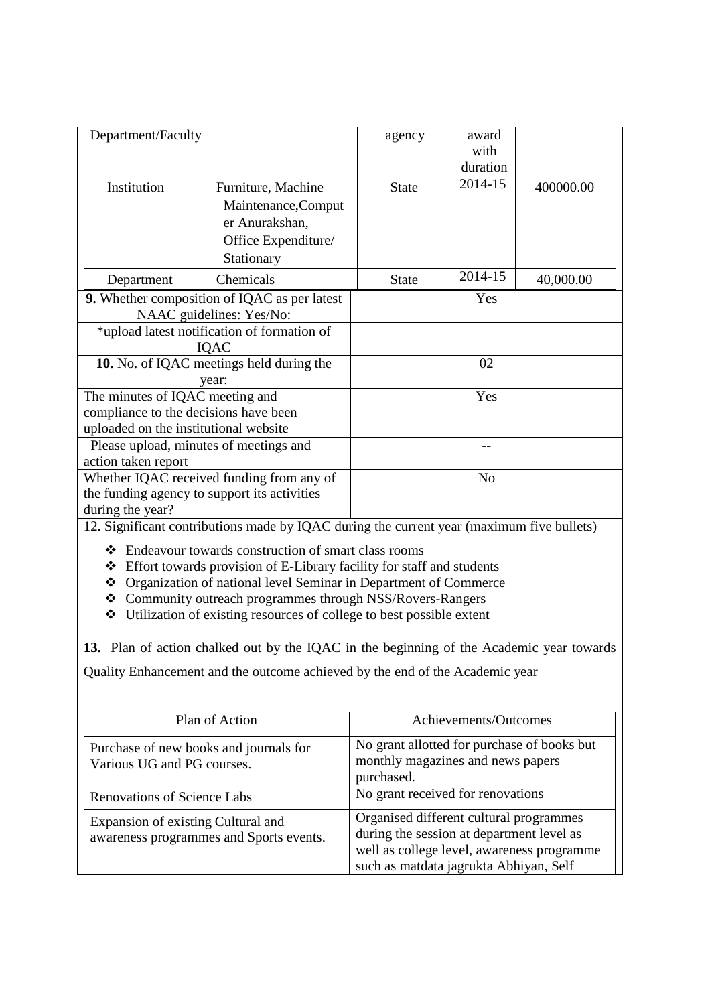| Department/Faculty                                                              |                                                                                           | agency                                                                               | award<br>with         |           |
|---------------------------------------------------------------------------------|-------------------------------------------------------------------------------------------|--------------------------------------------------------------------------------------|-----------------------|-----------|
|                                                                                 |                                                                                           |                                                                                      | duration              |           |
| Institution                                                                     | Furniture, Machine                                                                        | <b>State</b>                                                                         | 2014-15               | 400000.00 |
|                                                                                 | Maintenance, Comput                                                                       |                                                                                      |                       |           |
|                                                                                 | er Anurakshan,                                                                            |                                                                                      |                       |           |
|                                                                                 | Office Expenditure/                                                                       |                                                                                      |                       |           |
|                                                                                 | Stationary                                                                                |                                                                                      |                       |           |
| Department                                                                      | Chemicals                                                                                 | <b>State</b>                                                                         | 2014-15               | 40,000.00 |
|                                                                                 | 9. Whether composition of IQAC as per latest                                              |                                                                                      | Yes                   |           |
|                                                                                 | NAAC guidelines: Yes/No:                                                                  |                                                                                      |                       |           |
|                                                                                 | *upload latest notification of formation of<br>IQAC                                       |                                                                                      |                       |           |
|                                                                                 | 10. No. of IQAC meetings held during the                                                  |                                                                                      | 02                    |           |
|                                                                                 | year:                                                                                     |                                                                                      |                       |           |
| The minutes of IQAC meeting and                                                 |                                                                                           |                                                                                      | Yes                   |           |
| compliance to the decisions have been                                           |                                                                                           |                                                                                      |                       |           |
| uploaded on the institutional website<br>Please upload, minutes of meetings and |                                                                                           |                                                                                      | --                    |           |
| action taken report                                                             |                                                                                           |                                                                                      |                       |           |
|                                                                                 | Whether IQAC received funding from any of                                                 |                                                                                      | N <sub>o</sub>        |           |
| the funding agency to support its activities                                    |                                                                                           |                                                                                      |                       |           |
| during the year?                                                                |                                                                                           |                                                                                      |                       |           |
|                                                                                 | 12. Significant contributions made by IQAC during the current year (maximum five bullets) |                                                                                      |                       |           |
|                                                                                 | ❖ Endeavour towards construction of smart class rooms                                     |                                                                                      |                       |           |
|                                                                                 | ❖ Effort towards provision of E-Library facility for staff and students                   |                                                                                      |                       |           |
|                                                                                 | ❖ Organization of national level Seminar in Department of Commerce                        |                                                                                      |                       |           |
|                                                                                 | ❖ Community outreach programmes through NSS/Rovers-Rangers                                |                                                                                      |                       |           |
| ❖                                                                               | Utilization of existing resources of college to best possible extent                      |                                                                                      |                       |           |
|                                                                                 | 13. Plan of action chalked out by the IQAC in the beginning of the Academic year towards  |                                                                                      |                       |           |
|                                                                                 | Quality Enhancement and the outcome achieved by the end of the Academic year              |                                                                                      |                       |           |
|                                                                                 |                                                                                           |                                                                                      |                       |           |
|                                                                                 | Plan of Action                                                                            |                                                                                      | Achievements/Outcomes |           |
| Purchase of new books and journals for                                          |                                                                                           | No grant allotted for purchase of books but                                          |                       |           |
| Various UG and PG courses.                                                      |                                                                                           | monthly magazines and news papers                                                    |                       |           |
|                                                                                 |                                                                                           | purchased.                                                                           |                       |           |
| <b>Renovations of Science Labs</b>                                              |                                                                                           | No grant received for renovations                                                    |                       |           |
| Expansion of existing Cultural and                                              |                                                                                           | Organised different cultural programmes                                              |                       |           |
|                                                                                 | awareness programmes and Sports events.                                                   | during the session at department level as                                            |                       |           |
|                                                                                 |                                                                                           | well as college level, awareness programme<br>such as matdata jagrukta Abhiyan, Self |                       |           |
|                                                                                 |                                                                                           |                                                                                      |                       |           |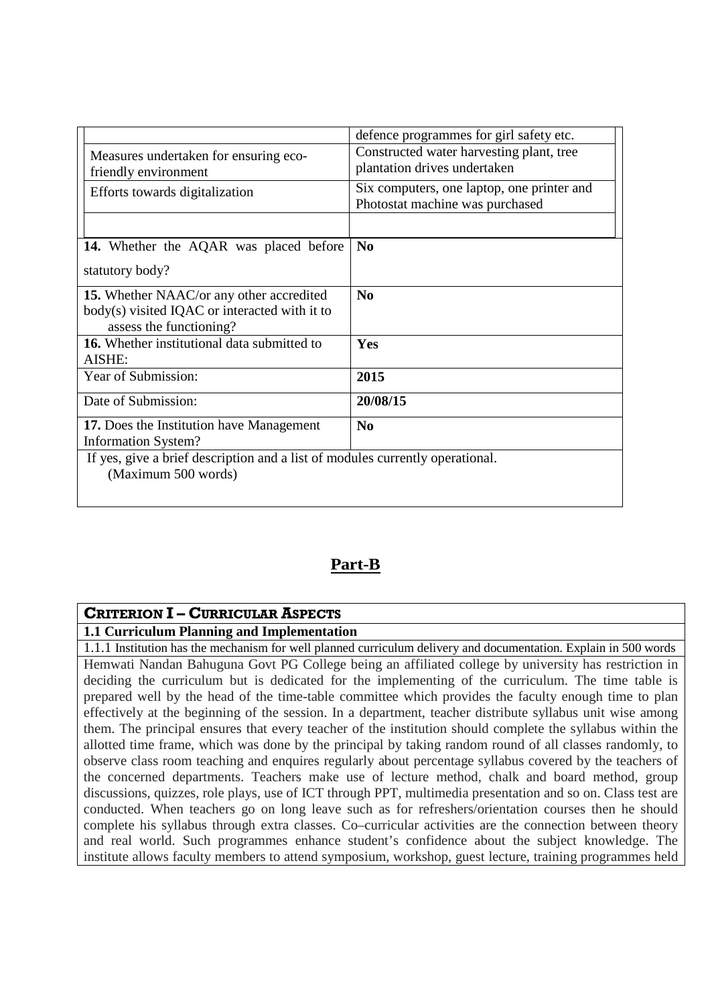|                                                                               | defence programmes for girl safety etc.    |  |  |  |  |  |
|-------------------------------------------------------------------------------|--------------------------------------------|--|--|--|--|--|
| Measures undertaken for ensuring eco-                                         | Constructed water harvesting plant, tree   |  |  |  |  |  |
| friendly environment                                                          | plantation drives undertaken               |  |  |  |  |  |
|                                                                               | Six computers, one laptop, one printer and |  |  |  |  |  |
| Efforts towards digitalization                                                | Photostat machine was purchased            |  |  |  |  |  |
|                                                                               |                                            |  |  |  |  |  |
|                                                                               |                                            |  |  |  |  |  |
| 14. Whether the AQAR was placed before                                        | N <sub>0</sub>                             |  |  |  |  |  |
|                                                                               |                                            |  |  |  |  |  |
| statutory body?                                                               |                                            |  |  |  |  |  |
| 15. Whether NAAC/or any other accredited                                      | N <sub>0</sub>                             |  |  |  |  |  |
| body(s) visited IQAC or interacted with it to                                 |                                            |  |  |  |  |  |
| assess the functioning?                                                       |                                            |  |  |  |  |  |
| <b>16.</b> Whether institutional data submitted to                            | Yes                                        |  |  |  |  |  |
| AISHE:                                                                        |                                            |  |  |  |  |  |
| Year of Submission:                                                           | 2015                                       |  |  |  |  |  |
|                                                                               |                                            |  |  |  |  |  |
| Date of Submission:                                                           | 20/08/15                                   |  |  |  |  |  |
| 17. Does the Institution have Management                                      | $\bf No$                                   |  |  |  |  |  |
| <b>Information System?</b>                                                    |                                            |  |  |  |  |  |
| If yes, give a brief description and a list of modules currently operational. |                                            |  |  |  |  |  |
| (Maximum 500 words)                                                           |                                            |  |  |  |  |  |
|                                                                               |                                            |  |  |  |  |  |

# **Part-B**

# **CRITERION I – CURRICULAR ASPECTS**

#### **1.1 Curriculum Planning and Implementation**

1.1.1 Institution has the mechanism for well planned curriculum delivery and documentation. Explain in 500 words Hemwati Nandan Bahuguna Govt PG College being an affiliated college by university has restriction in deciding the curriculum but is dedicated for the implementing of the curriculum. The time table is prepared well by the head of the time-table committee which provides the faculty enough time to plan effectively at the beginning of the session. In a department, teacher distribute syllabus unit wise among them. The principal ensures that every teacher of the institution should complete the syllabus within the allotted time frame, which was done by the principal by taking random round of all classes randomly, to observe class room teaching and enquires regularly about percentage syllabus covered by the teachers of the concerned departments. Teachers make use of lecture method, chalk and board method, group discussions, quizzes, role plays, use of ICT through PPT, multimedia presentation and so on. Class test are conducted. When teachers go on long leave such as for refreshers/orientation courses then he should complete his syllabus through extra classes. Co–curricular activities are the connection between theory and real world. Such programmes enhance student's confidence about the subject knowledge. The institute allows faculty members to attend symposium, workshop, guest lecture, training programmes held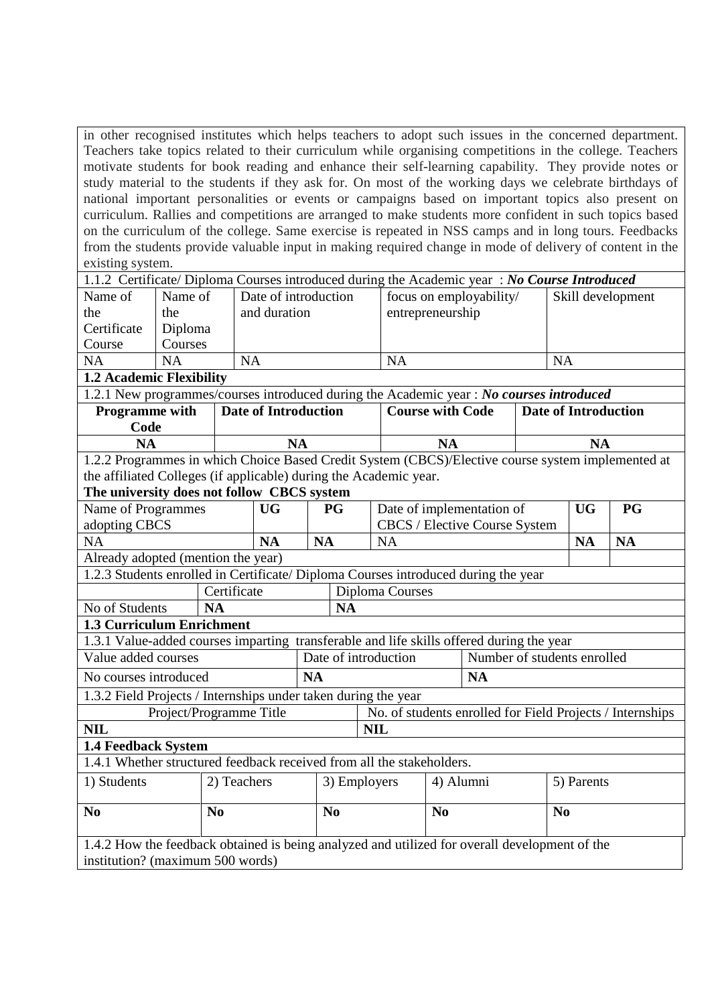in other recognised institutes which helps teachers to adopt such issues in the concerned department. Teachers take topics related to their curriculum while organising competitions in the college. Teachers motivate students for book reading and enhance their self-learning capability. They provide notes or study material to the students if they ask for. On most of the working days we celebrate birthdays of national important personalities or events or campaigns based on important topics also present on curriculum. Rallies and competitions are arranged to make students more confident in such topics based on the curriculum of the college. Same exercise is repeated in NSS camps and in long tours. Feedbacks from the students provide valuable input in making required change in mode of delivery of content in the existing system.

| 1.1.2 Certificate/ Diploma Courses introduced during the Academic year: No Course Introduced      |                         |                |                      |           |                |                                                            |                         |                             |                             |            |                                                           |
|---------------------------------------------------------------------------------------------------|-------------------------|----------------|----------------------|-----------|----------------|------------------------------------------------------------|-------------------------|-----------------------------|-----------------------------|------------|-----------------------------------------------------------|
| Name of                                                                                           | Name of                 |                | Date of introduction |           |                |                                                            | focus on employability/ |                             |                             |            | Skill development                                         |
| the                                                                                               | the                     |                | and duration         |           |                | entrepreneurship                                           |                         |                             |                             |            |                                                           |
| Certificate                                                                                       | Diploma                 |                |                      |           |                |                                                            |                         |                             |                             |            |                                                           |
| Course                                                                                            | Courses                 |                |                      |           |                |                                                            |                         |                             |                             |            |                                                           |
| <b>NA</b>                                                                                         | <b>NA</b>               | <b>NA</b>      |                      |           |                | NA                                                         |                         |                             | <b>NA</b>                   |            |                                                           |
| <b>1.2 Academic Flexibility</b>                                                                   |                         |                |                      |           |                |                                                            |                         |                             |                             |            |                                                           |
| 1.2.1 New programmes/courses introduced during the Academic year : No courses introduced          |                         |                |                      |           |                |                                                            |                         |                             |                             |            |                                                           |
| <b>Programme with</b>                                                                             |                         |                | Date of Introduction |           |                |                                                            | <b>Course with Code</b> |                             | <b>Date of Introduction</b> |            |                                                           |
| Code                                                                                              |                         |                |                      |           |                |                                                            |                         |                             |                             |            |                                                           |
| <b>NA</b>                                                                                         |                         |                | <b>NA</b>            |           |                |                                                            | <b>NA</b>               |                             |                             | <b>NA</b>  |                                                           |
| 1.2.2 Programmes in which Choice Based Credit System (CBCS)/Elective course system implemented at |                         |                |                      |           |                |                                                            |                         |                             |                             |            |                                                           |
| the affiliated Colleges (if applicable) during the Academic year.                                 |                         |                |                      |           |                |                                                            |                         |                             |                             |            |                                                           |
| The university does not follow CBCS system<br>Name of Programmes                                  |                         |                |                      |           | <b>PG</b>      |                                                            |                         |                             |                             | <b>UG</b>  | PG                                                        |
| adopting CBCS                                                                                     |                         |                | <b>UG</b>            |           |                | Date of implementation of<br>CBCS / Elective Course System |                         |                             |                             |            |                                                           |
| <b>NA</b>                                                                                         |                         |                | <b>NA</b>            | <b>NA</b> |                | <b>NA</b>                                                  |                         |                             |                             | <b>NA</b>  | <b>NA</b>                                                 |
| Already adopted (mention the year)                                                                |                         |                |                      |           |                |                                                            |                         |                             |                             |            |                                                           |
| 1.2.3 Students enrolled in Certificate/ Diploma Courses introduced during the year                |                         |                |                      |           |                |                                                            |                         |                             |                             |            |                                                           |
|                                                                                                   |                         | Certificate    |                      |           |                | Diploma Courses                                            |                         |                             |                             |            |                                                           |
| No of Students                                                                                    |                         | <b>NA</b>      |                      |           | <b>NA</b>      |                                                            |                         |                             |                             |            |                                                           |
| 1.3 Curriculum Enrichment                                                                         |                         |                |                      |           |                |                                                            |                         |                             |                             |            |                                                           |
| 1.3.1 Value-added courses imparting transferable and life skills offered during the year          |                         |                |                      |           |                |                                                            |                         |                             |                             |            |                                                           |
| Value added courses                                                                               |                         |                |                      |           |                | Date of introduction                                       |                         | Number of students enrolled |                             |            |                                                           |
| No courses introduced                                                                             |                         |                |                      | <b>NA</b> |                |                                                            |                         | <b>NA</b>                   |                             |            |                                                           |
| 1.3.2 Field Projects / Internships under taken during the year                                    |                         |                |                      |           |                |                                                            |                         |                             |                             |            |                                                           |
|                                                                                                   | Project/Programme Title |                |                      |           |                |                                                            |                         |                             |                             |            | No. of students enrolled for Field Projects / Internships |
| <b>NIL</b>                                                                                        |                         |                |                      |           |                | <b>NIL</b>                                                 |                         |                             |                             |            |                                                           |
| <b>1.4 Feedback System</b>                                                                        |                         |                |                      |           |                |                                                            |                         |                             |                             |            |                                                           |
| 1.4.1 Whether structured feedback received from all the stakeholders.                             |                         |                |                      |           |                |                                                            |                         |                             |                             |            |                                                           |
| 1) Students                                                                                       |                         | 2) Teachers    |                      |           | 3) Employers   |                                                            | 4) Alumni               |                             |                             | 5) Parents |                                                           |
|                                                                                                   |                         |                |                      |           |                |                                                            |                         |                             |                             |            |                                                           |
| N <sub>0</sub>                                                                                    |                         | N <sub>0</sub> |                      |           | N <sub>0</sub> |                                                            | No                      |                             | N <sub>0</sub>              |            |                                                           |
|                                                                                                   |                         |                |                      |           |                |                                                            |                         |                             |                             |            |                                                           |
| 1.4.2 How the feedback obtained is being analyzed and utilized for overall development of the     |                         |                |                      |           |                |                                                            |                         |                             |                             |            |                                                           |
| institution? (maximum 500 words)                                                                  |                         |                |                      |           |                |                                                            |                         |                             |                             |            |                                                           |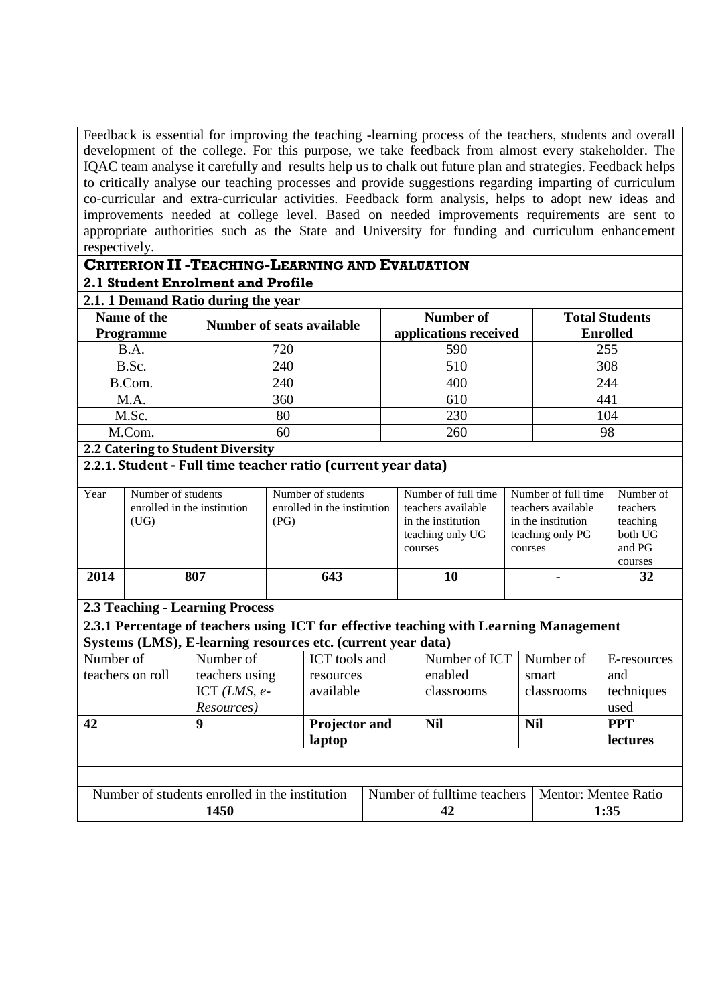Feedback is essential for improving the teaching -learning process of the teachers, students and overall development of the college. For this purpose, we take feedback from almost every stakeholder. The IQAC team analyse it carefully and results help us to chalk out future plan and strategies. Feedback helps to critically analyse our teaching processes and provide suggestions regarding imparting of curriculum co-curricular and extra-curricular activities. Feedback form analysis, helps to adopt new ideas and improvements needed at college level. Based on needed improvements requirements are sent to appropriate authorities such as the State and University for funding and curriculum enhancement respectively.

#### **CRITERION II -TEACHING-LEARNING AND EVALUATION**

#### **2.1 Student Enrolment and Profile**

## **2.1. 1 Demand Ratio during the year**

| Name of the<br><b>Programme</b> | <b>Number of seats available</b> | Number of<br>applications received | <b>Total Students</b><br><b>Enrolled</b> |
|---------------------------------|----------------------------------|------------------------------------|------------------------------------------|
| B.A.                            | 720                              | 590                                | 255                                      |
| B.Sc.                           | 240                              | 510                                | 308                                      |
| B.Com.                          | 240                              | 400                                | 244                                      |
| M.A.                            | 360                              | 610                                | 441                                      |
| M.Sc.                           | 80                               | 230                                | 104                                      |
| M.Com.                          |                                  | 260                                | 98                                       |

#### **2.2 Catering to Student Diversity**

#### **2.2.1. Student - Full time teacher ratio (current year data)**

| Year | Number of students<br>enrolled in the institution<br>(UG) | Number of students<br>enrolled in the institution<br>(PG) | Number of full time<br>teachers available<br>in the institution<br>teaching only UG<br>courses | Number of full time<br>teachers available<br>in the institution<br>teaching only PG<br>courses | Number of<br>teachers<br>teaching<br>both UG<br>and PG<br>courses |
|------|-----------------------------------------------------------|-----------------------------------------------------------|------------------------------------------------------------------------------------------------|------------------------------------------------------------------------------------------------|-------------------------------------------------------------------|
| 2014 | 807                                                       | 643                                                       | 10                                                                                             |                                                                                                | 32                                                                |

#### **2.3 Teaching - Learning Process**

**2.3.1 Percentage of teachers using ICT for effective teaching with Learning Management Systems (LMS), E-learning resources etc. (current year data)**

| Number of                                      | Number of      | ICT tools and |  | Number of ICT               | Number of  | E-resources                 |  |  |
|------------------------------------------------|----------------|---------------|--|-----------------------------|------------|-----------------------------|--|--|
| teachers on roll                               | teachers using | resources     |  | enabled                     | smart      | and                         |  |  |
|                                                | ICT $(LMS, e-$ | available     |  | classrooms                  | classrooms | techniques                  |  |  |
|                                                | Resources)     |               |  |                             |            | used                        |  |  |
| 42                                             | 9              | Projector and |  | <b>Nil</b>                  | <b>Nil</b> | <b>PPT</b>                  |  |  |
|                                                |                | laptop        |  |                             |            | <b>lectures</b>             |  |  |
|                                                |                |               |  |                             |            |                             |  |  |
|                                                |                |               |  |                             |            |                             |  |  |
| Number of students enrolled in the institution |                |               |  | Number of fulltime teachers |            | <b>Mentor: Mentee Ratio</b> |  |  |
| 1450                                           |                |               |  | 42                          |            | 1:35                        |  |  |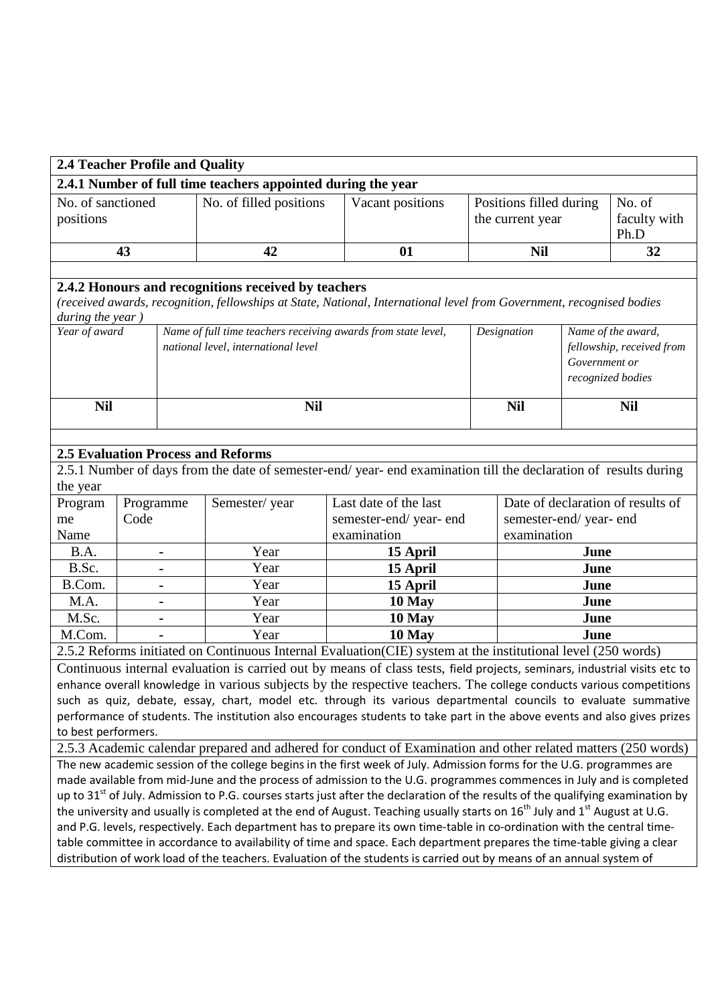| 2.4.1 Number of full time teachers appointed during the year<br>No. of sanctioned<br>No. of filled positions<br>Vacant positions<br>Positions filled during<br>No. of<br>positions<br>the current year<br>faculty with<br>Ph.D<br>42<br><b>Nil</b><br>43<br>01<br>32<br>2.4.2 Honours and recognitions received by teachers<br>(received awards, recognition, fellowships at State, National, International level from Government, recognised bodies<br>during the year)<br>Year of award<br>Name of full time teachers receiving awards from state level,<br>Name of the award,<br>Designation<br>national level, international level<br>fellowship, received from<br>Government or<br>recognized bodies<br><b>Nil</b><br><b>Nil</b><br><b>Nil</b><br><b>Nil</b>                                                                                                                                                               |  |  |  |  |  |  |  |
|---------------------------------------------------------------------------------------------------------------------------------------------------------------------------------------------------------------------------------------------------------------------------------------------------------------------------------------------------------------------------------------------------------------------------------------------------------------------------------------------------------------------------------------------------------------------------------------------------------------------------------------------------------------------------------------------------------------------------------------------------------------------------------------------------------------------------------------------------------------------------------------------------------------------------------|--|--|--|--|--|--|--|
|                                                                                                                                                                                                                                                                                                                                                                                                                                                                                                                                                                                                                                                                                                                                                                                                                                                                                                                                 |  |  |  |  |  |  |  |
|                                                                                                                                                                                                                                                                                                                                                                                                                                                                                                                                                                                                                                                                                                                                                                                                                                                                                                                                 |  |  |  |  |  |  |  |
|                                                                                                                                                                                                                                                                                                                                                                                                                                                                                                                                                                                                                                                                                                                                                                                                                                                                                                                                 |  |  |  |  |  |  |  |
|                                                                                                                                                                                                                                                                                                                                                                                                                                                                                                                                                                                                                                                                                                                                                                                                                                                                                                                                 |  |  |  |  |  |  |  |
|                                                                                                                                                                                                                                                                                                                                                                                                                                                                                                                                                                                                                                                                                                                                                                                                                                                                                                                                 |  |  |  |  |  |  |  |
|                                                                                                                                                                                                                                                                                                                                                                                                                                                                                                                                                                                                                                                                                                                                                                                                                                                                                                                                 |  |  |  |  |  |  |  |
| <b>2.5 Evaluation Process and Reforms</b>                                                                                                                                                                                                                                                                                                                                                                                                                                                                                                                                                                                                                                                                                                                                                                                                                                                                                       |  |  |  |  |  |  |  |
| 2.5.1 Number of days from the date of semester-end/year-end examination till the declaration of results during<br>the year                                                                                                                                                                                                                                                                                                                                                                                                                                                                                                                                                                                                                                                                                                                                                                                                      |  |  |  |  |  |  |  |
| Date of declaration of results of<br>Last date of the last<br>Program<br>Programme<br>Semester/year                                                                                                                                                                                                                                                                                                                                                                                                                                                                                                                                                                                                                                                                                                                                                                                                                             |  |  |  |  |  |  |  |
| Code<br>semester-end/year-end<br>semester-end/year-end<br>me                                                                                                                                                                                                                                                                                                                                                                                                                                                                                                                                                                                                                                                                                                                                                                                                                                                                    |  |  |  |  |  |  |  |
| Name<br>examination<br>examination                                                                                                                                                                                                                                                                                                                                                                                                                                                                                                                                                                                                                                                                                                                                                                                                                                                                                              |  |  |  |  |  |  |  |
| Year<br>B.A.<br>June<br>15 April<br>$\blacksquare$                                                                                                                                                                                                                                                                                                                                                                                                                                                                                                                                                                                                                                                                                                                                                                                                                                                                              |  |  |  |  |  |  |  |
| B.Sc.<br>Year<br>15 April<br>June<br>$\blacksquare$                                                                                                                                                                                                                                                                                                                                                                                                                                                                                                                                                                                                                                                                                                                                                                                                                                                                             |  |  |  |  |  |  |  |
| B.Com.<br>Year<br>15 April<br>June<br>$\blacksquare$                                                                                                                                                                                                                                                                                                                                                                                                                                                                                                                                                                                                                                                                                                                                                                                                                                                                            |  |  |  |  |  |  |  |
| M.A.<br>Year<br>10 May<br>June<br>$\blacksquare$                                                                                                                                                                                                                                                                                                                                                                                                                                                                                                                                                                                                                                                                                                                                                                                                                                                                                |  |  |  |  |  |  |  |
| M.Sc.<br>Year<br>10 May<br>June                                                                                                                                                                                                                                                                                                                                                                                                                                                                                                                                                                                                                                                                                                                                                                                                                                                                                                 |  |  |  |  |  |  |  |
| M.Com.<br>Year<br>10 May<br>June                                                                                                                                                                                                                                                                                                                                                                                                                                                                                                                                                                                                                                                                                                                                                                                                                                                                                                |  |  |  |  |  |  |  |
| 2.5.2 Reforms initiated on Continuous Internal Evaluation(CIE) system at the institutional level (250 words)                                                                                                                                                                                                                                                                                                                                                                                                                                                                                                                                                                                                                                                                                                                                                                                                                    |  |  |  |  |  |  |  |
| Continuous internal evaluation is carried out by means of class tests, field projects, seminars, industrial visits etc to<br>enhance overall knowledge in various subjects by the respective teachers. The college conducts various competitions<br>such as quiz, debate, essay, chart, model etc. through its various departmental councils to evaluate summative<br>performance of students. The institution also encourages students to take part in the above events and also gives prizes<br>to best performers.                                                                                                                                                                                                                                                                                                                                                                                                           |  |  |  |  |  |  |  |
| 2.5.3 Academic calendar prepared and adhered for conduct of Examination and other related matters (250 words)                                                                                                                                                                                                                                                                                                                                                                                                                                                                                                                                                                                                                                                                                                                                                                                                                   |  |  |  |  |  |  |  |
| The new academic session of the college begins in the first week of July. Admission forms for the U.G. programmes are<br>made available from mid-June and the process of admission to the U.G. programmes commences in July and is completed<br>up to 31 <sup>st</sup> of July. Admission to P.G. courses starts just after the declaration of the results of the qualifying examination by<br>the university and usually is completed at the end of August. Teaching usually starts on 16 <sup>th</sup> July and 1 <sup>st</sup> August at U.G.<br>and P.G. levels, respectively. Each department has to prepare its own time-table in co-ordination with the central time-<br>table committee in accordance to availability of time and space. Each department prepares the time-table giving a clear<br>distribution of work load of the teachers. Evaluation of the students is carried out by means of an annual system of |  |  |  |  |  |  |  |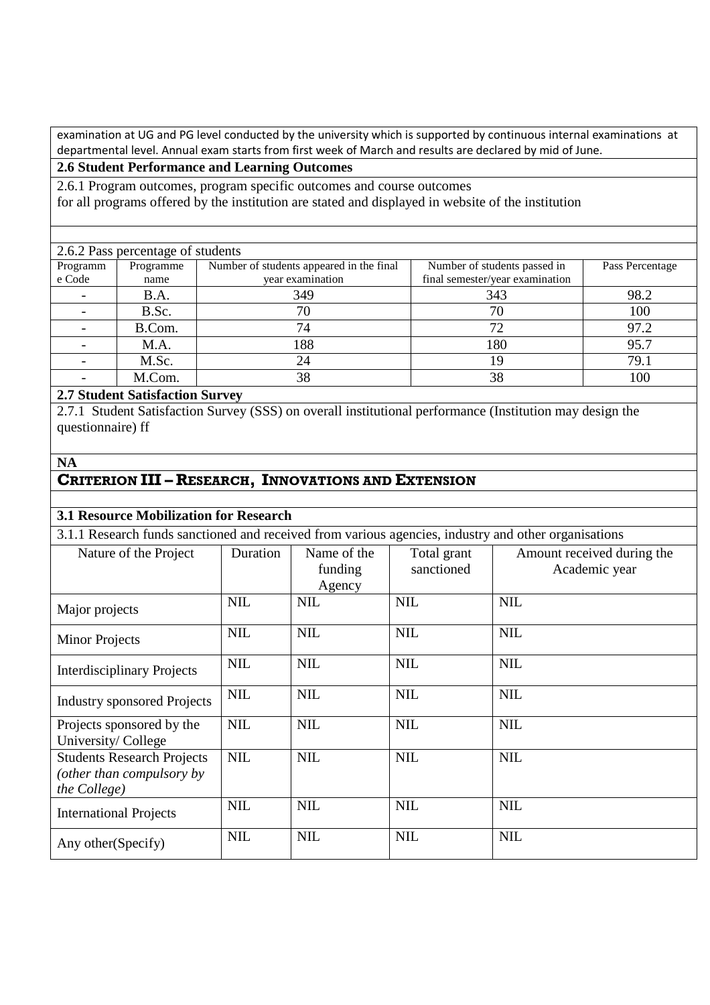examination at UG and PG level conducted by the university which is supported by continuous internal examinations at departmental level. Annual exam starts from first week of March and results are declared by mid of June.

## **2.6 Student Performance and Learning Outcomes**

2.6.1 Program outcomes, program specific outcomes and course outcomes for all programs offered by the institution are stated and displayed in website of the institution

| 2.6.2 Pass percentage of students |           |                                          |                                 |                 |  |  |  |  |  |
|-----------------------------------|-----------|------------------------------------------|---------------------------------|-----------------|--|--|--|--|--|
| Programm                          | Programme | Number of students appeared in the final | Number of students passed in    | Pass Percentage |  |  |  |  |  |
| e Code                            | name      | year examination                         | final semester/year examination |                 |  |  |  |  |  |
|                                   | B.A.      | 349                                      | 343                             | 98.2            |  |  |  |  |  |
|                                   | B.Sc.     | 70                                       | 70                              | 100             |  |  |  |  |  |
|                                   | B.Com.    | 74                                       | 72                              | 97.2            |  |  |  |  |  |
|                                   | M.A.      | 188                                      | 180                             | 95.7            |  |  |  |  |  |
|                                   | M.Sc.     | 24                                       | 19                              | 79.1            |  |  |  |  |  |
|                                   | M.Com.    | 38                                       | 38                              | 100             |  |  |  |  |  |

## **2.7 Student Satisfaction Survey**

2.7.1 Student Satisfaction Survey (SSS) on overall institutional performance (Institution may design the questionnaire) ff

### **NA**

## **CRITERION III – RESEARCH, INNOVATIONS AND EXTENSION**

#### **3.1 Resource Mobilization for Research**

3.1.1 Research funds sanctioned and received from various agencies, industry and other organisations

| Nature of the Project                                                          | Duration   | Name of the<br>funding<br>Agency | Total grant<br>sanctioned | Amount received during the<br>Academic year |
|--------------------------------------------------------------------------------|------------|----------------------------------|---------------------------|---------------------------------------------|
| Major projects                                                                 | <b>NIL</b> | <b>NIL</b>                       | <b>NIL</b>                | <b>NIL</b>                                  |
| <b>Minor Projects</b>                                                          | <b>NIL</b> | <b>NIL</b>                       | <b>NIL</b>                | <b>NIL</b>                                  |
| <b>Interdisciplinary Projects</b>                                              | <b>NIL</b> | <b>NIL</b>                       | <b>NIL</b>                | <b>NIL</b>                                  |
| <b>Industry sponsored Projects</b>                                             | <b>NIL</b> | <b>NIL</b>                       | <b>NIL</b>                | <b>NIL</b>                                  |
| Projects sponsored by the<br>University/College                                | <b>NIL</b> | <b>NIL</b>                       | <b>NIL</b>                | <b>NIL</b>                                  |
| <b>Students Research Projects</b><br>(other than compulsory by<br>the College) | <b>NIL</b> | <b>NIL</b>                       | <b>NIL</b>                | <b>NIL</b>                                  |
| <b>International Projects</b>                                                  | <b>NIL</b> | <b>NIL</b>                       | <b>NIL</b>                | <b>NIL</b>                                  |
| Any other (Specify)                                                            | <b>NIL</b> | <b>NIL</b>                       | <b>NIL</b>                | <b>NIL</b>                                  |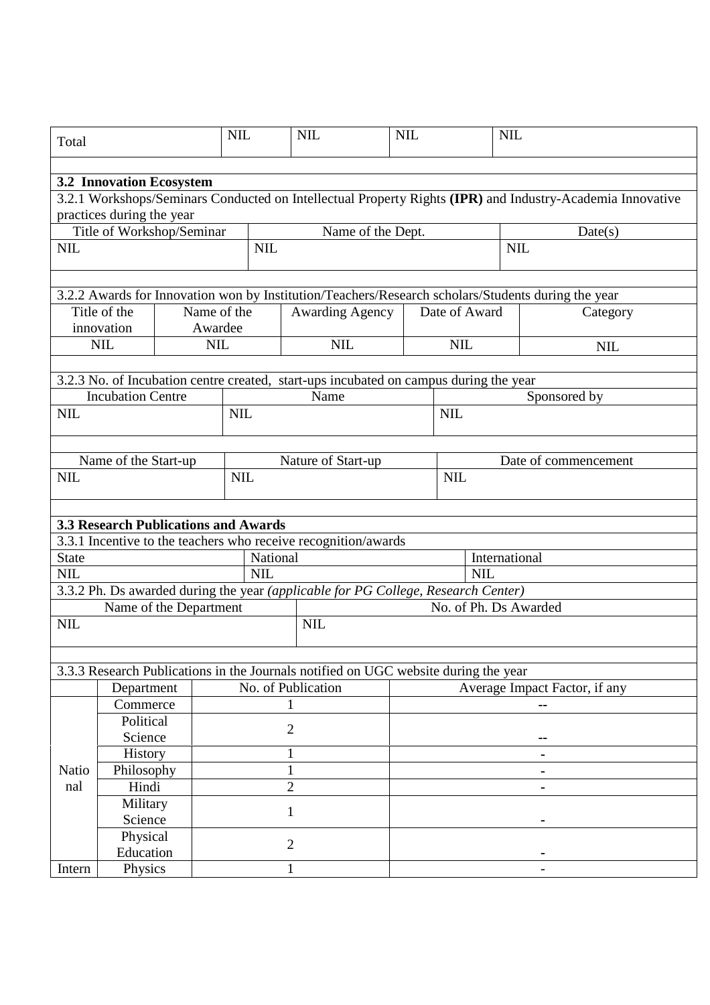| Total                           |                                                                                                           |                        | <b>NIL</b> |                | <b>NIL</b>                                                                            | <b>NIL</b><br><b>NIL</b> |                       |               |                                                                                                    |  |
|---------------------------------|-----------------------------------------------------------------------------------------------------------|------------------------|------------|----------------|---------------------------------------------------------------------------------------|--------------------------|-----------------------|---------------|----------------------------------------------------------------------------------------------------|--|
|                                 |                                                                                                           |                        |            |                |                                                                                       |                          |                       |               |                                                                                                    |  |
| <b>3.2 Innovation Ecosystem</b> |                                                                                                           |                        |            |                |                                                                                       |                          |                       |               |                                                                                                    |  |
|                                 | 3.2.1 Workshops/Seminars Conducted on Intellectual Property Rights (IPR) and Industry-Academia Innovative |                        |            |                |                                                                                       |                          |                       |               |                                                                                                    |  |
| practices during the year       |                                                                                                           |                        |            |                |                                                                                       |                          |                       |               |                                                                                                    |  |
|                                 | Title of Workshop/Seminar                                                                                 |                        |            |                | Name of the Dept.                                                                     |                          |                       |               | Date(s)                                                                                            |  |
| <b>NIL</b>                      |                                                                                                           |                        | <b>NIL</b> |                |                                                                                       |                          |                       |               | <b>NIL</b>                                                                                         |  |
|                                 |                                                                                                           |                        |            |                |                                                                                       |                          |                       |               |                                                                                                    |  |
|                                 |                                                                                                           |                        |            |                |                                                                                       |                          |                       |               | 3.2.2 Awards for Innovation won by Institution/Teachers/Research scholars/Students during the year |  |
|                                 | Title of the                                                                                              | Name of the            |            |                | <b>Awarding Agency</b>                                                                |                          | Date of Award         |               | Category                                                                                           |  |
|                                 | innovation                                                                                                | Awardee                |            |                |                                                                                       |                          |                       |               |                                                                                                    |  |
|                                 | <b>NIL</b>                                                                                                | <b>NIL</b>             |            |                | <b>NIL</b>                                                                            |                          | <b>NIL</b>            |               | <b>NIL</b>                                                                                         |  |
|                                 |                                                                                                           |                        |            |                |                                                                                       |                          |                       |               |                                                                                                    |  |
|                                 |                                                                                                           |                        |            |                | 3.2.3 No. of Incubation centre created, start-ups incubated on campus during the year |                          |                       |               |                                                                                                    |  |
|                                 | <b>Incubation Centre</b>                                                                                  |                        |            |                | Name                                                                                  |                          |                       |               | Sponsored by                                                                                       |  |
| <b>NIL</b>                      |                                                                                                           |                        | <b>NIL</b> |                |                                                                                       |                          | <b>NIL</b>            |               |                                                                                                    |  |
|                                 |                                                                                                           |                        |            |                |                                                                                       |                          |                       |               |                                                                                                    |  |
|                                 |                                                                                                           |                        |            |                |                                                                                       |                          |                       |               |                                                                                                    |  |
|                                 | Name of the Start-up                                                                                      |                        |            |                | Nature of Start-up                                                                    |                          |                       |               | Date of commencement                                                                               |  |
| <b>NIL</b>                      |                                                                                                           | <b>NIL</b>             |            |                |                                                                                       | <b>NIL</b>               |                       |               |                                                                                                    |  |
|                                 |                                                                                                           |                        |            |                |                                                                                       |                          |                       |               |                                                                                                    |  |
|                                 | <b>3.3 Research Publications and Awards</b>                                                               |                        |            |                |                                                                                       |                          |                       |               |                                                                                                    |  |
|                                 |                                                                                                           |                        |            |                | 3.3.1 Incentive to the teachers who receive recognition/awards                        |                          |                       |               |                                                                                                    |  |
| <b>State</b>                    |                                                                                                           |                        | National   |                |                                                                                       |                          |                       | International |                                                                                                    |  |
| <b>NIL</b>                      | <b>NIL</b>                                                                                                |                        |            |                |                                                                                       | <b>NIL</b>               |                       |               |                                                                                                    |  |
|                                 |                                                                                                           |                        |            |                | 3.3.2 Ph. Ds awarded during the year (applicable for PG College, Research Center)     |                          |                       |               |                                                                                                    |  |
|                                 |                                                                                                           | Name of the Department |            |                |                                                                                       |                          | No. of Ph. Ds Awarded |               |                                                                                                    |  |
| <b>NIL</b>                      |                                                                                                           |                        |            |                | <b>NIL</b>                                                                            |                          |                       |               |                                                                                                    |  |
|                                 |                                                                                                           |                        |            |                |                                                                                       |                          |                       |               |                                                                                                    |  |
|                                 |                                                                                                           |                        |            |                |                                                                                       |                          |                       |               |                                                                                                    |  |
|                                 |                                                                                                           |                        |            |                | 3.3.3 Research Publications in the Journals notified on UGC website during the year   |                          |                       |               |                                                                                                    |  |
|                                 | Department                                                                                                |                        |            |                | No. of Publication                                                                    |                          |                       |               | Average Impact Factor, if any                                                                      |  |
|                                 | Commerce                                                                                                  |                        |            |                |                                                                                       |                          |                       |               |                                                                                                    |  |
|                                 | Political                                                                                                 |                        |            | $\overline{2}$ |                                                                                       |                          |                       |               |                                                                                                    |  |
|                                 | Science                                                                                                   |                        |            |                |                                                                                       |                          |                       |               |                                                                                                    |  |
|                                 | History                                                                                                   |                        |            |                |                                                                                       |                          |                       |               |                                                                                                    |  |
| Natio                           | Philosophy                                                                                                |                        |            |                |                                                                                       |                          |                       |               |                                                                                                    |  |
| nal                             | Hindi                                                                                                     |                        |            | $\overline{2}$ |                                                                                       |                          |                       |               |                                                                                                    |  |
|                                 | Military                                                                                                  |                        |            | 1              |                                                                                       |                          |                       |               |                                                                                                    |  |
|                                 | Science                                                                                                   |                        |            |                |                                                                                       |                          |                       |               |                                                                                                    |  |
|                                 | Physical                                                                                                  |                        |            | $\overline{2}$ |                                                                                       |                          |                       |               |                                                                                                    |  |
|                                 | Education                                                                                                 |                        |            |                |                                                                                       |                          |                       |               |                                                                                                    |  |
| Intern                          | Physics                                                                                                   |                        | 1          |                |                                                                                       |                          |                       |               |                                                                                                    |  |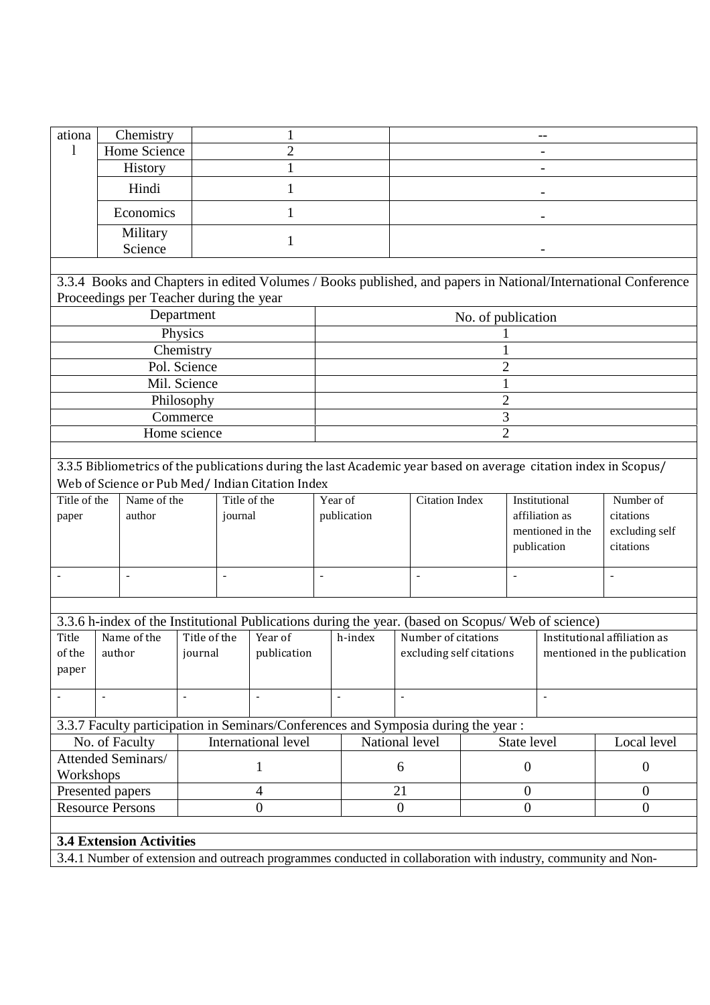| ationa                   | Chemistry                               |                          |                                                                                                                                                                      |                          |                                                            |                          |                    |                                                              |                                                   |                                                                                                               |
|--------------------------|-----------------------------------------|--------------------------|----------------------------------------------------------------------------------------------------------------------------------------------------------------------|--------------------------|------------------------------------------------------------|--------------------------|--------------------|--------------------------------------------------------------|---------------------------------------------------|---------------------------------------------------------------------------------------------------------------|
| 1                        | Home Science                            |                          | $\overline{2}$                                                                                                                                                       |                          |                                                            |                          |                    |                                                              |                                                   |                                                                                                               |
|                          | <b>History</b>                          |                          |                                                                                                                                                                      |                          |                                                            |                          |                    |                                                              |                                                   |                                                                                                               |
|                          | Hindi                                   |                          | 1                                                                                                                                                                    |                          |                                                            |                          |                    |                                                              |                                                   |                                                                                                               |
|                          | Economics                               |                          | 1                                                                                                                                                                    |                          |                                                            |                          |                    |                                                              |                                                   |                                                                                                               |
|                          | Military                                |                          | 1                                                                                                                                                                    |                          |                                                            |                          |                    |                                                              |                                                   |                                                                                                               |
|                          | Science                                 |                          |                                                                                                                                                                      |                          |                                                            |                          |                    |                                                              |                                                   |                                                                                                               |
|                          | Proceedings per Teacher during the year |                          |                                                                                                                                                                      |                          |                                                            |                          |                    |                                                              |                                                   | 3.3.4 Books and Chapters in edited Volumes / Books published, and papers in National/International Conference |
|                          |                                         | Department               |                                                                                                                                                                      |                          |                                                            |                          | No. of publication |                                                              |                                                   |                                                                                                               |
|                          |                                         | Physics                  |                                                                                                                                                                      |                          |                                                            |                          |                    |                                                              |                                                   |                                                                                                               |
|                          |                                         | Chemistry                |                                                                                                                                                                      |                          |                                                            |                          |                    |                                                              |                                                   |                                                                                                               |
|                          |                                         | Pol. Science             |                                                                                                                                                                      |                          |                                                            |                          |                    | $\overline{2}$                                               |                                                   |                                                                                                               |
|                          |                                         | Mil. Science             |                                                                                                                                                                      |                          |                                                            |                          |                    | 1                                                            |                                                   |                                                                                                               |
|                          |                                         | Philosophy               |                                                                                                                                                                      |                          |                                                            |                          |                    | $\overline{2}$                                               |                                                   |                                                                                                               |
|                          |                                         | Commerce                 |                                                                                                                                                                      |                          |                                                            |                          |                    | 3                                                            |                                                   |                                                                                                               |
|                          |                                         | Home science             |                                                                                                                                                                      |                          |                                                            |                          |                    | $\overline{2}$                                               |                                                   |                                                                                                               |
|                          |                                         |                          | 3.3.5 Bibliometrics of the publications during the last Academic year based on average citation index in Scopus/<br>Web of Science or Pub Med/ Indian Citation Index |                          |                                                            |                          |                    |                                                              |                                                   |                                                                                                               |
| Title of the             | Name of the                             |                          | Title of the                                                                                                                                                         | Year of                  |                                                            | <b>Citation Index</b>    |                    |                                                              | Institutional                                     | Number of                                                                                                     |
| paper                    | author                                  |                          | journal                                                                                                                                                              |                          | publication                                                |                          |                    |                                                              | affiliation as<br>mentioned in the<br>publication | citations<br>excluding self<br>citations                                                                      |
|                          | $\overline{\phantom{a}}$                | $\overline{\phantom{a}}$ |                                                                                                                                                                      | $\overline{a}$           |                                                            | $\overline{\phantom{a}}$ |                    |                                                              |                                                   |                                                                                                               |
|                          |                                         |                          |                                                                                                                                                                      |                          |                                                            |                          |                    |                                                              |                                                   |                                                                                                               |
|                          |                                         |                          | 3.3.6 h-index of the Institutional Publications during the year. (based on Scopus/ Web of science)                                                                   |                          |                                                            |                          |                    |                                                              |                                                   |                                                                                                               |
| Title<br>of the<br>paper | Name of the<br>author                   | Title of the<br>journal  | Year of<br>publication                                                                                                                                               |                          | Number of citations<br>h-index<br>excluding self citations |                          |                    | Institutional affiliation as<br>mentioned in the publication |                                                   |                                                                                                               |
|                          | $\blacksquare$                          | $\blacksquare$           | $\sim$                                                                                                                                                               | $\overline{\phantom{a}}$ |                                                            | $\bar{\phantom{a}}$      |                    |                                                              | $\blacksquare$                                    |                                                                                                               |
|                          |                                         |                          | 3.3.7 Faculty participation in Seminars/Conferences and Symposia during the year :                                                                                   |                          |                                                            |                          |                    |                                                              |                                                   |                                                                                                               |
|                          | No. of Faculty                          |                          | International level                                                                                                                                                  |                          |                                                            | National level           |                    | State level                                                  |                                                   | Local level                                                                                                   |
| Workshops                | Attended Seminars/                      |                          | 1                                                                                                                                                                    |                          |                                                            | 6                        |                    | $\boldsymbol{0}$                                             |                                                   | $\boldsymbol{0}$                                                                                              |
|                          | Presented papers                        |                          | $\overline{4}$                                                                                                                                                       |                          |                                                            | 21                       |                    | $\mathbf{0}$                                                 |                                                   | $\theta$                                                                                                      |
|                          | <b>Resource Persons</b>                 |                          | $\overline{0}$                                                                                                                                                       |                          |                                                            | $\boldsymbol{0}$         |                    | $\mathbf{0}$                                                 |                                                   | $\overline{0}$                                                                                                |
|                          |                                         |                          |                                                                                                                                                                      |                          |                                                            |                          |                    |                                                              |                                                   |                                                                                                               |
|                          | <b>3.4 Extension Activities</b>         |                          |                                                                                                                                                                      |                          |                                                            |                          |                    |                                                              |                                                   |                                                                                                               |
|                          |                                         |                          | 3.4.1 Number of extension and outreach programmes conducted in collaboration with industry, community and Non-                                                       |                          |                                                            |                          |                    |                                                              |                                                   |                                                                                                               |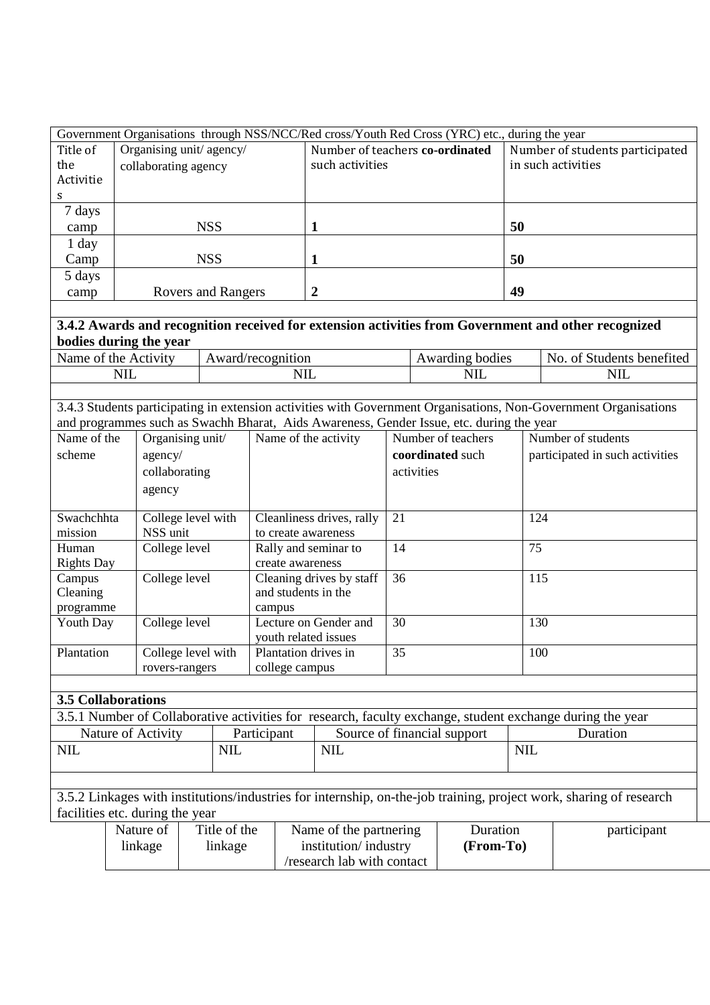|           | Government Organisations through NSS/NCC/Red cross/Youth Red Cross (YRC) etc., during the year |                                 |                                 |  |  |  |  |  |
|-----------|------------------------------------------------------------------------------------------------|---------------------------------|---------------------------------|--|--|--|--|--|
| Title of  | Organising unit/ agency/                                                                       | Number of teachers co-ordinated | Number of students participated |  |  |  |  |  |
| the       | collaborating agency                                                                           | such activities                 | in such activities              |  |  |  |  |  |
| Activitie |                                                                                                |                                 |                                 |  |  |  |  |  |
| S.        |                                                                                                |                                 |                                 |  |  |  |  |  |
| 7 days    |                                                                                                |                                 |                                 |  |  |  |  |  |
| camp      | <b>NSS</b>                                                                                     |                                 | 50                              |  |  |  |  |  |
| 1 day     |                                                                                                |                                 |                                 |  |  |  |  |  |
| Camp      | <b>NSS</b>                                                                                     |                                 | 50                              |  |  |  |  |  |
| 5 days    |                                                                                                |                                 |                                 |  |  |  |  |  |
| camp      | Rovers and Rangers                                                                             | $\mathbf{2}$                    | 49                              |  |  |  |  |  |

## **3.4.2 Awards and recognition received for extension activities from Government and other recognized bodies during the year**

| Name<br>CHV1tV<br>the<br>0T<br>$\boldsymbol{A}$ | $\Lambda$ vyzomo<br>7 recognition<br>AW<br>arw | $\bullet$<br>wardıng<br>bodies<br>$\cdot^{\mathsf{w}}$ | œ<br>NΩ<br>students<br>benefited<br>∩t<br>,, |
|-------------------------------------------------|------------------------------------------------|--------------------------------------------------------|----------------------------------------------|
| ٠TΠ<br>'                                        | $\mathbf{v}$<br>ヽ<br>11 L                      | T<br>NШ                                                | <b>NIL</b>                                   |
|                                                 |                                                |                                                        |                                              |

3.4.3 Students participating in extension activities with Government Organisations, Non-Government Organisations and programmes such as Swachh Bharat, Aids Awareness, Gender Issue, etc. during the year

| Name of the<br>scheme | Organising unit/<br>agency/<br>collaborating<br>agency | Name of the activity      | Number of teachers<br>coordinated such<br>activities | Number of students<br>participated in such activities |
|-----------------------|--------------------------------------------------------|---------------------------|------------------------------------------------------|-------------------------------------------------------|
| Swachchhta            | College level with                                     | Cleanliness drives, rally | 21                                                   | 124                                                   |
| mission               | NSS unit                                               | to create awareness       |                                                      |                                                       |
| Human                 | College level                                          | Rally and seminar to      | 14                                                   | 75                                                    |
| <b>Rights Day</b>     |                                                        | create awareness          |                                                      |                                                       |
| Campus                | College level                                          | Cleaning drives by staff  | 36                                                   | 115                                                   |
| Cleaning              |                                                        | and students in the       |                                                      |                                                       |
| programme             |                                                        | campus                    |                                                      |                                                       |
| Youth Day             | College level                                          | Lecture on Gender and     | 30                                                   | 130                                                   |
|                       |                                                        | youth related issues      |                                                      |                                                       |
| Plantation            | College level with                                     | Plantation drives in      | 35                                                   | 100                                                   |
|                       | rovers-rangers                                         | college campus            |                                                      |                                                       |

## **3.5 Collaborations**

| 3.5.1 Number of Collaborative activities for research, faculty exchange, student exchange during the year |             |                             |                 |  |  |  |
|-----------------------------------------------------------------------------------------------------------|-------------|-----------------------------|-----------------|--|--|--|
| Nature of Activity                                                                                        | Participant | Source of financial support | <b>Duration</b> |  |  |  |
| <b>NIL</b>                                                                                                | <b>NIL</b>  | <b>NIL</b>                  | <b>NIL</b>      |  |  |  |
|                                                                                                           |             |                             |                 |  |  |  |

3.5.2 Linkages with institutions/industries for internship, on-the-job training, project work, sharing of research facilities etc. during the year

| Nature of | Title of the | Name of the partnering     | Duration  | participant |
|-----------|--------------|----------------------------|-----------|-------------|
| linkage   | linkage      | institution/industry       | (From-To) |             |
|           |              | /research lab with contact |           |             |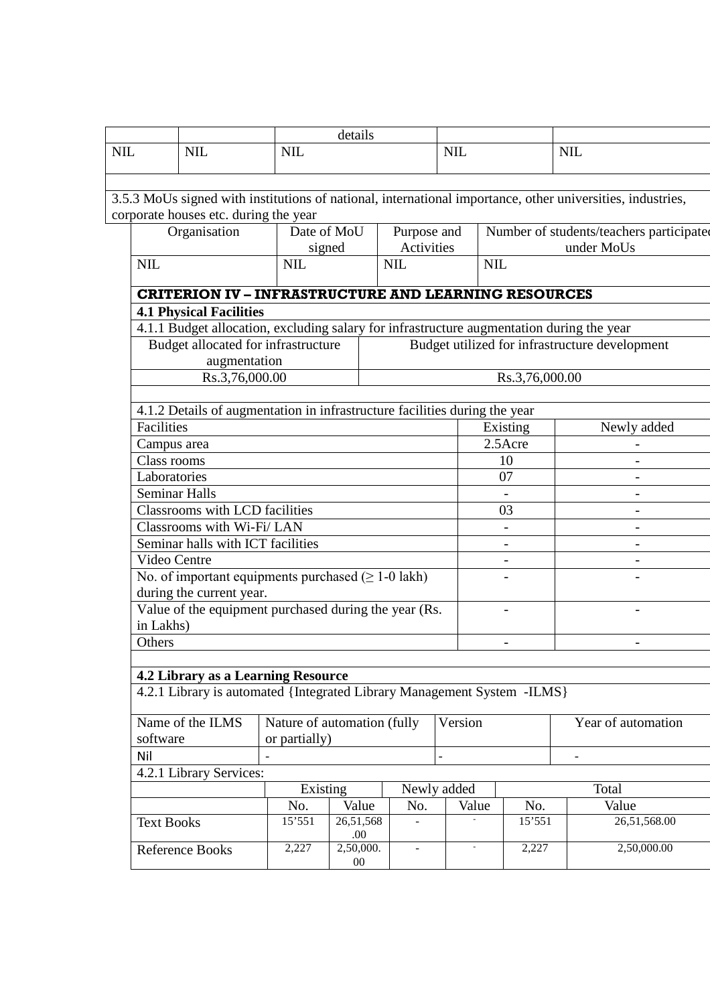| <b>NIL</b>          | <b>NIL</b>                                                                                |                             | details          |                |             |                          |                |                                                                                                            |  |
|---------------------|-------------------------------------------------------------------------------------------|-----------------------------|------------------|----------------|-------------|--------------------------|----------------|------------------------------------------------------------------------------------------------------------|--|
|                     | <b>NIL</b>                                                                                |                             | <b>NIL</b>       | <b>NIL</b>     |             |                          |                |                                                                                                            |  |
|                     |                                                                                           |                             |                  |                |             |                          |                |                                                                                                            |  |
|                     |                                                                                           |                             |                  |                |             |                          |                | 3.5.3 MoUs signed with institutions of national, international importance, other universities, industries, |  |
|                     | corporate houses etc. during the year                                                     |                             |                  |                |             |                          |                |                                                                                                            |  |
|                     | Organisation                                                                              |                             | Date of MoU      | Purpose and    |             |                          |                | Number of students/teachers participated                                                                   |  |
|                     |                                                                                           |                             | signed           | Activities     |             |                          |                | under MoUs                                                                                                 |  |
| <b>NIL</b>          |                                                                                           | <b>NIL</b>                  |                  | <b>NIL</b>     |             | <b>NIL</b>               |                |                                                                                                            |  |
|                     | <b>CRITERION IV - INFRASTRUCTURE AND LEARNING RESOURCES</b>                               |                             |                  |                |             |                          |                |                                                                                                            |  |
|                     | <b>4.1 Physical Facilities</b>                                                            |                             |                  |                |             |                          |                |                                                                                                            |  |
|                     | 4.1.1 Budget allocation, excluding salary for infrastructure augmentation during the year |                             |                  |                |             |                          |                |                                                                                                            |  |
|                     | Budget allocated for infrastructure                                                       |                             |                  |                |             |                          |                | Budget utilized for infrastructure development                                                             |  |
|                     | augmentation                                                                              |                             |                  |                |             |                          |                |                                                                                                            |  |
|                     | Rs.3,76,000.00                                                                            |                             |                  |                |             |                          | Rs.3,76,000.00 |                                                                                                            |  |
|                     | 4.1.2 Details of augmentation in infrastructure facilities during the year                |                             |                  |                |             |                          |                |                                                                                                            |  |
| Facilities          |                                                                                           |                             |                  |                |             |                          | Existing       | Newly added                                                                                                |  |
| Campus area         |                                                                                           |                             |                  |                | 2.5Acre     |                          |                |                                                                                                            |  |
| Class rooms         |                                                                                           |                             |                  |                |             |                          | 10             |                                                                                                            |  |
| Laboratories        |                                                                                           |                             |                  |                |             |                          | 07             |                                                                                                            |  |
| Seminar Halls       |                                                                                           |                             |                  |                |             |                          |                |                                                                                                            |  |
|                     | Classrooms with LCD facilities                                                            |                             |                  |                |             | 03                       |                |                                                                                                            |  |
|                     | Classrooms with Wi-Fi/ LAN                                                                |                             |                  |                |             | $\overline{\phantom{a}}$ |                |                                                                                                            |  |
|                     | Seminar halls with ICT facilities                                                         |                             |                  |                |             |                          |                |                                                                                                            |  |
| Video Centre        |                                                                                           |                             |                  |                |             |                          |                |                                                                                                            |  |
|                     | No. of important equipments purchased $( \geq 1$ -0 lakh)                                 |                             |                  |                |             |                          |                |                                                                                                            |  |
|                     | during the current year.                                                                  |                             |                  |                |             |                          |                |                                                                                                            |  |
|                     | Value of the equipment purchased during the year (Rs.                                     |                             |                  |                |             |                          |                |                                                                                                            |  |
| in Lakhs)<br>Others |                                                                                           |                             |                  |                |             | $\overline{\phantom{a}}$ |                |                                                                                                            |  |
|                     |                                                                                           |                             |                  |                |             |                          |                | $\blacksquare$                                                                                             |  |
|                     | 4.2 Library as a Learning Resource                                                        |                             |                  |                |             |                          |                |                                                                                                            |  |
|                     | 4.2.1 Library is automated {Integrated Library Management System -ILMS}                   |                             |                  |                |             |                          |                |                                                                                                            |  |
|                     |                                                                                           |                             |                  |                |             |                          |                |                                                                                                            |  |
|                     | Name of the ILMS                                                                          | Nature of automation (fully |                  |                | Version     |                          |                | Year of automation                                                                                         |  |
| software            |                                                                                           | or partially)               |                  |                |             |                          |                |                                                                                                            |  |
| Nil                 |                                                                                           |                             |                  |                |             |                          |                |                                                                                                            |  |
|                     | 4.2.1 Library Services:                                                                   |                             |                  |                |             |                          |                |                                                                                                            |  |
|                     |                                                                                           | Existing                    |                  |                | Newly added |                          |                | Total                                                                                                      |  |
|                     |                                                                                           | No.                         | Value            | No.            | Value       |                          | No.            | Value                                                                                                      |  |
| <b>Text Books</b>   |                                                                                           | 15'551                      | 26,51,568<br>.00 |                |             |                          | 15'551         | 26,51,568.00                                                                                               |  |
|                     | <b>Reference Books</b>                                                                    | 2,227                       | 2,50,000.<br>00  | $\blacksquare$ |             |                          | 2,227          | 2,50,000.00                                                                                                |  |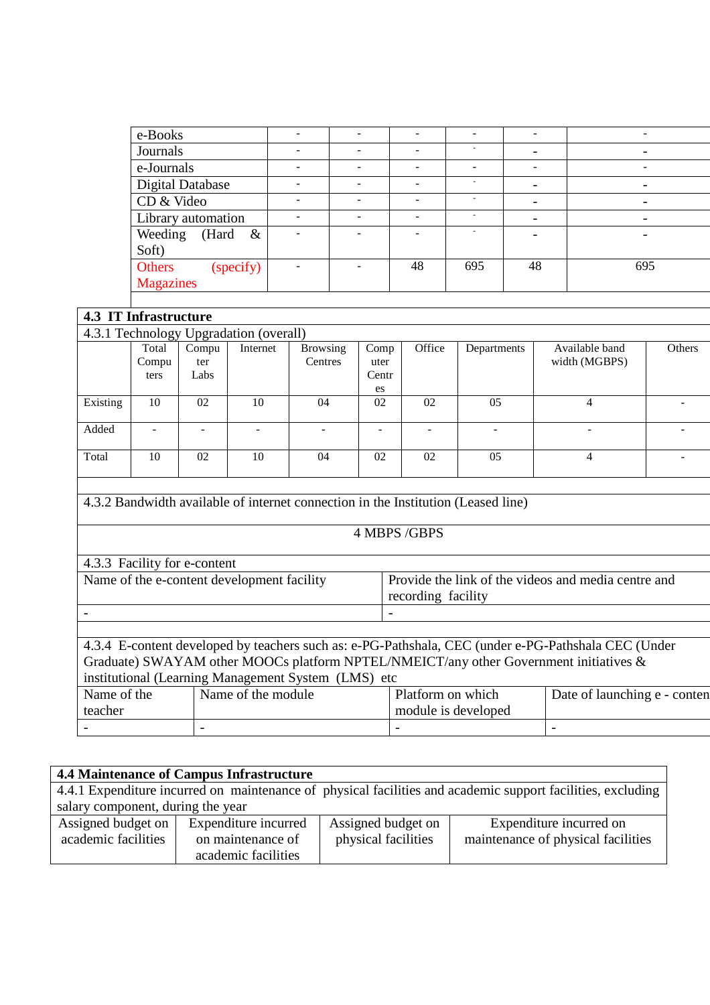| e-Books                  |                          |                          |                          | $\overline{\phantom{a}}$ |                          |
|--------------------------|--------------------------|--------------------------|--------------------------|--------------------------|--------------------------|
| Journals                 |                          | $\overline{\phantom{0}}$ | ٠                        | $\overline{\phantom{a}}$ | $\qquad \qquad$          |
| e-Journals               | $\overline{\phantom{0}}$ | $\overline{\phantom{a}}$ | $\blacksquare$           | $\overline{\phantom{a}}$ | $\overline{\phantom{a}}$ |
| <b>Digital Database</b>  |                          |                          | $\sim$                   | $\overline{\phantom{0}}$ | $\overline{\phantom{0}}$ |
| CD & Video               |                          | ۰                        | $\overline{\phantom{a}}$ | $\overline{\phantom{a}}$ |                          |
| Library automation       |                          | ۰                        | $\sim$                   | $\blacksquare$           | $\overline{\phantom{0}}$ |
| Weeding<br>(Hard<br>$\&$ |                          |                          | ٠                        | $\overline{\phantom{0}}$ |                          |
| Soft)                    |                          |                          |                          |                          |                          |
| Others<br>(specify)      |                          | 48                       | 695                      | 48                       | 695                      |
| <b>Magazines</b>         |                          |                          |                          |                          |                          |
|                          |                          |                          |                          |                          |                          |

|                                        | <b>4.3 IT Infrastructure</b> |       |          |                 |       |        |                          |                |               |  |
|----------------------------------------|------------------------------|-------|----------|-----------------|-------|--------|--------------------------|----------------|---------------|--|
| 4.3.1 Technology Upgradation (overall) |                              |       |          |                 |       |        |                          |                |               |  |
|                                        | Total                        | Compu | Internet | <b>Browsing</b> | Comp  | Office | Departments              | Available band | <b>Others</b> |  |
|                                        | Compu                        | ter   |          | <b>Centres</b>  | uter  |        |                          | width (MGBPS)  |               |  |
|                                        | ters                         | Labs  |          |                 | Centr |        |                          |                |               |  |
|                                        |                              |       |          |                 | es    |        |                          |                |               |  |
| Existing                               | 10                           | 02    | 10       | 04              | 02    | 02     | 05                       | 4              |               |  |
|                                        |                              |       |          |                 |       |        |                          |                |               |  |
| Added                                  | ۰                            |       | ۰        |                 |       |        | $\overline{\phantom{a}}$ | ۰              |               |  |
|                                        |                              |       |          |                 |       |        |                          |                |               |  |
| Total                                  | 10                           | 02    | 10       | 04              | 02    | 02     | 0 <sub>5</sub>           | 4              |               |  |
|                                        |                              |       |          |                 |       |        |                          |                |               |  |

## 4.3.2 Bandwidth available of internet connection in the Institution (Leased line)

#### 4 MBPS /GBPS

| 4.3.3 Facility for e-content               |                                                                           |
|--------------------------------------------|---------------------------------------------------------------------------|
| Name of the e-content development facility | Provide the link of the videos and media centre and<br>recording facility |
|                                            |                                                                           |
|                                            |                                                                           |

4.3.4 E-content developed by teachers such as: e-PG-Pathshala, CEC (under e-PG-Pathshala CEC (Under Graduate) SWAYAM other MOOCs platform NPTEL/NMEICT/any other Government initiatives & institutional (Learning Management System (LMS) etc Name of the Same of the module Platform on which  $\overline{D}$ ate of launching e - content

|               |                      |                     | -                                     |
|---------------|----------------------|---------------------|---------------------------------------|
| teacher       |                      | module is developed |                                       |
| TVANIC OF THE | ivanie of the module | FIAUOHII OII WIIICH | Date of Taunching $\epsilon$ - Conten |

| 4.4 Maintenance of Campus Infrastructure                                                                    |                      |                     |                                    |  |  |  |  |  |  |
|-------------------------------------------------------------------------------------------------------------|----------------------|---------------------|------------------------------------|--|--|--|--|--|--|
| 4.4.1 Expenditure incurred on maintenance of physical facilities and academic support facilities, excluding |                      |                     |                                    |  |  |  |  |  |  |
| salary component, during the year                                                                           |                      |                     |                                    |  |  |  |  |  |  |
| Assigned budget on                                                                                          | Expenditure incurred | Assigned budget on  | Expenditure incurred on            |  |  |  |  |  |  |
| academic facilities                                                                                         | on maintenance of    | physical facilities | maintenance of physical facilities |  |  |  |  |  |  |
|                                                                                                             | academic facilities  |                     |                                    |  |  |  |  |  |  |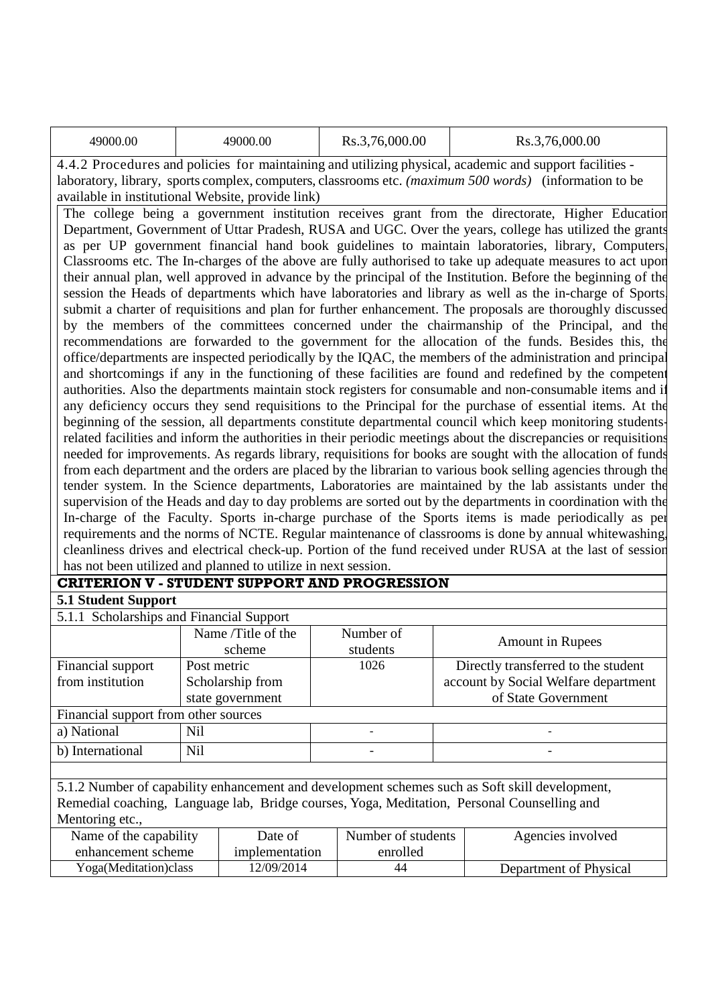| 49000.00 | 49000.00 | Rs.3,76,000.00 | Rs.3,76,000.00 |
|----------|----------|----------------|----------------|
|----------|----------|----------------|----------------|

4.4.2 Procedures and policies for maintaining and utilizing physical, academic and support facilities laboratory, library, sports complex, computers, classrooms etc. *(maximum 500 words)* (information to be available in institutional Website, provide link)

The college being a government institution receives grant from the directorate, Higher Education Department, Government of Uttar Pradesh, RUSA and UGC. Over the years, college has utilized the grants as per UP government financial hand book guidelines to maintain laboratories, library, Computers, Classrooms etc. The In-charges of the above are fully authorised to take up adequate measures to act upon their annual plan, well approved in advance by the principal of the Institution. Before the beginning of the session the Heads of departments which have laboratories and library as well as the in-charge of Sports submit a charter of requisitions and plan for further enhancement. The proposals are thoroughly discussed by the members of the committees concerned under the chairmanship of the Principal, and the recommendations are forwarded to the government for the allocation of the funds. Besides this, the office/departments are inspected periodically by the IQAC, the members of the administration and principal and shortcomings if any in the functioning of these facilities are found and redefined by the competent authorities. Also the departments maintain stock registers for consumable and non-consumable items and if any deficiency occurs they send requisitions to the Principal for the purchase of essential items. At the beginning of the session, all departments constitute departmental council which keep monitoring studentsrelated facilities and inform the authorities in their periodic meetings about the discrepancies or requisitions needed for improvements. As regards library, requisitions for books are sought with the allocation of funds from each department and the orders are placed by the librarian to various book selling agencies through the tender system. In the Science departments, Laboratories are maintained by the lab assistants under the supervision of the Heads and day to day problems are sorted out by the departments in coordination with the In-charge of the Faculty. Sports in-charge purchase of the Sports items is made periodically as per requirements and the norms of NCTE. Regular maintenance of classrooms is done by annual whitewashing, cleanliness drives and electrical check-up. Portion of the fund received under RUSA at the last of session has not been utilized and planned to utilize in next session.

## **CRITERION V - STUDENT SUPPORT AND PROGRESSION**

#### **5.1 Student Support**

| 5.1.1 Scholarships and Financial Support                                                       |                    |           |                                      |  |  |  |  |
|------------------------------------------------------------------------------------------------|--------------------|-----------|--------------------------------------|--|--|--|--|
|                                                                                                | Name /Title of the | Number of | <b>Amount in Rupees</b>              |  |  |  |  |
|                                                                                                | scheme             | students  |                                      |  |  |  |  |
| Financial support                                                                              | Post metric        | 1026      | Directly transferred to the student  |  |  |  |  |
| from institution                                                                               | Scholarship from   |           | account by Social Welfare department |  |  |  |  |
|                                                                                                | state government   |           | of State Government                  |  |  |  |  |
| Financial support from other sources                                                           |                    |           |                                      |  |  |  |  |
| a) National                                                                                    | Nil                |           | $\overline{\phantom{a}}$             |  |  |  |  |
| b) International                                                                               | N <sub>il</sub>    |           |                                      |  |  |  |  |
|                                                                                                |                    |           |                                      |  |  |  |  |
| 5.1.2 Number of capability enhancement and development schemes such as Soft skill development, |                    |           |                                      |  |  |  |  |

Remedial coaching, Language lab, Bridge courses, Yoga, Meditation, Personal Counselling and Mentoring etc.

| Name of the capability | Date of        | Number of students | Agencies involved      |
|------------------------|----------------|--------------------|------------------------|
| enhancement scheme     | implementation | enrolled           |                        |
| Yoga(Meditation)class  | 12/09/2014     | 44                 | Department of Physical |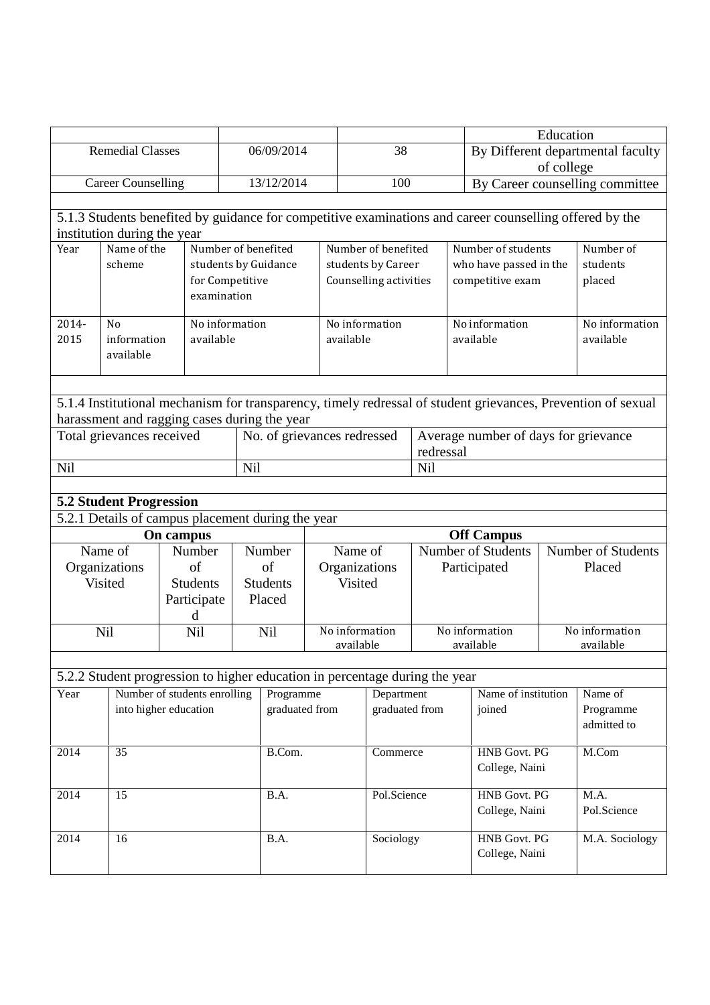|       |                                |                                                                             |                                |                 |                             |                        |                |                                                                                                              | Education |                                      |  |
|-------|--------------------------------|-----------------------------------------------------------------------------|--------------------------------|-----------------|-----------------------------|------------------------|----------------|--------------------------------------------------------------------------------------------------------------|-----------|--------------------------------------|--|
|       | <b>Remedial Classes</b>        |                                                                             |                                | 06/09/2014      |                             | 38                     |                |                                                                                                              |           | By Different departmental faculty    |  |
|       |                                |                                                                             |                                |                 |                             | of college             |                |                                                                                                              |           |                                      |  |
|       | <b>Career Counselling</b>      |                                                                             |                                | 13/12/2014      |                             | 100                    |                |                                                                                                              |           | By Career counselling committee      |  |
|       |                                |                                                                             |                                |                 |                             |                        |                |                                                                                                              |           |                                      |  |
|       |                                |                                                                             |                                |                 |                             |                        |                | 5.1.3 Students benefited by guidance for competitive examinations and career counselling offered by the      |           |                                      |  |
|       | institution during the year    |                                                                             |                                |                 |                             |                        |                |                                                                                                              |           |                                      |  |
| Year  | Name of the                    |                                                                             | Number of benefited            |                 |                             | Number of benefited    |                | Number of students                                                                                           |           | Number of                            |  |
|       | scheme                         |                                                                             | students by Guidance           |                 |                             | students by Career     |                | who have passed in the                                                                                       |           | students                             |  |
|       |                                |                                                                             | for Competitive<br>examination |                 |                             | Counselling activities |                | competitive exam                                                                                             |           | placed                               |  |
|       |                                |                                                                             |                                |                 |                             |                        |                |                                                                                                              |           |                                      |  |
| 2014- | No                             |                                                                             | No information                 |                 |                             | No information         |                | No information                                                                                               |           | No information                       |  |
| 2015  | information                    | available                                                                   |                                |                 | available                   |                        |                | available                                                                                                    |           | available                            |  |
|       | available                      |                                                                             |                                |                 |                             |                        |                |                                                                                                              |           |                                      |  |
|       |                                |                                                                             |                                |                 |                             |                        |                |                                                                                                              |           |                                      |  |
|       |                                |                                                                             |                                |                 |                             |                        |                |                                                                                                              |           |                                      |  |
|       |                                |                                                                             |                                |                 |                             |                        |                | 5.1.4 Institutional mechanism for transparency, timely redressal of student grievances, Prevention of sexual |           |                                      |  |
|       |                                | harassment and ragging cases during the year                                |                                |                 |                             |                        |                |                                                                                                              |           |                                      |  |
|       | Total grievances received      |                                                                             |                                |                 | No. of grievances redressed |                        |                |                                                                                                              |           | Average number of days for grievance |  |
|       |                                |                                                                             | Nil                            |                 |                             |                        | redressal      |                                                                                                              |           |                                      |  |
| Nil   |                                |                                                                             |                                |                 |                             |                        | Nil            |                                                                                                              |           |                                      |  |
|       | <b>5.2 Student Progression</b> |                                                                             |                                |                 |                             |                        |                |                                                                                                              |           |                                      |  |
|       |                                | 5.2.1 Details of campus placement during the year                           |                                |                 |                             |                        |                |                                                                                                              |           |                                      |  |
|       |                                | On campus                                                                   |                                |                 |                             |                        |                | <b>Off Campus</b>                                                                                            |           |                                      |  |
|       | Name of                        | Number                                                                      |                                | Number          |                             | Name of                |                | <b>Number of Students</b>                                                                                    |           | Number of Students                   |  |
|       | Organizations                  | of                                                                          |                                | of              |                             | Organizations          |                | Participated                                                                                                 |           | Placed                               |  |
|       | Visited                        | <b>Students</b>                                                             |                                | <b>Students</b> |                             | Visited                |                |                                                                                                              |           |                                      |  |
|       |                                | Participate                                                                 |                                | Placed          |                             |                        |                |                                                                                                              |           |                                      |  |
|       |                                | d                                                                           |                                |                 |                             |                        |                |                                                                                                              |           |                                      |  |
|       | Nil                            | Nil                                                                         |                                | Nil             |                             | No information         |                | No information                                                                                               |           | No information                       |  |
|       |                                |                                                                             |                                |                 |                             | available              |                | available                                                                                                    |           | available                            |  |
|       |                                |                                                                             |                                |                 |                             |                        |                |                                                                                                              |           |                                      |  |
|       |                                | 5.2.2 Student progression to higher education in percentage during the year |                                |                 |                             |                        |                |                                                                                                              |           |                                      |  |
| Year  |                                | Number of students enrolling                                                |                                | Programme       |                             | Department             |                | Name of institution                                                                                          |           | Name of                              |  |
|       |                                | into higher education                                                       |                                | graduated from  |                             | graduated from         |                | joined                                                                                                       |           | Programme                            |  |
|       |                                |                                                                             |                                |                 |                             |                        |                |                                                                                                              |           | admitted to                          |  |
| 2014  | 35                             |                                                                             |                                | B.Com.          |                             | Commerce               |                | HNB Govt. PG                                                                                                 |           | M.Com                                |  |
|       |                                |                                                                             |                                |                 |                             |                        | College, Naini |                                                                                                              |           |                                      |  |
|       |                                |                                                                             |                                |                 |                             |                        |                |                                                                                                              |           |                                      |  |
| 2014  | 15                             |                                                                             |                                | B.A.            |                             | Pol.Science            |                | <b>HNB Govt. PG</b>                                                                                          |           | M.A.                                 |  |
|       |                                |                                                                             |                                |                 |                             |                        |                | College, Naini                                                                                               |           | Pol.Science                          |  |
|       |                                |                                                                             |                                |                 |                             |                        |                |                                                                                                              |           |                                      |  |
|       |                                |                                                                             |                                |                 |                             |                        |                |                                                                                                              |           |                                      |  |
| 2014  | 16                             |                                                                             |                                | B.A.            |                             | Sociology              |                | HNB Govt. PG                                                                                                 |           | M.A. Sociology                       |  |
|       |                                |                                                                             |                                |                 |                             |                        |                | College, Naini                                                                                               |           |                                      |  |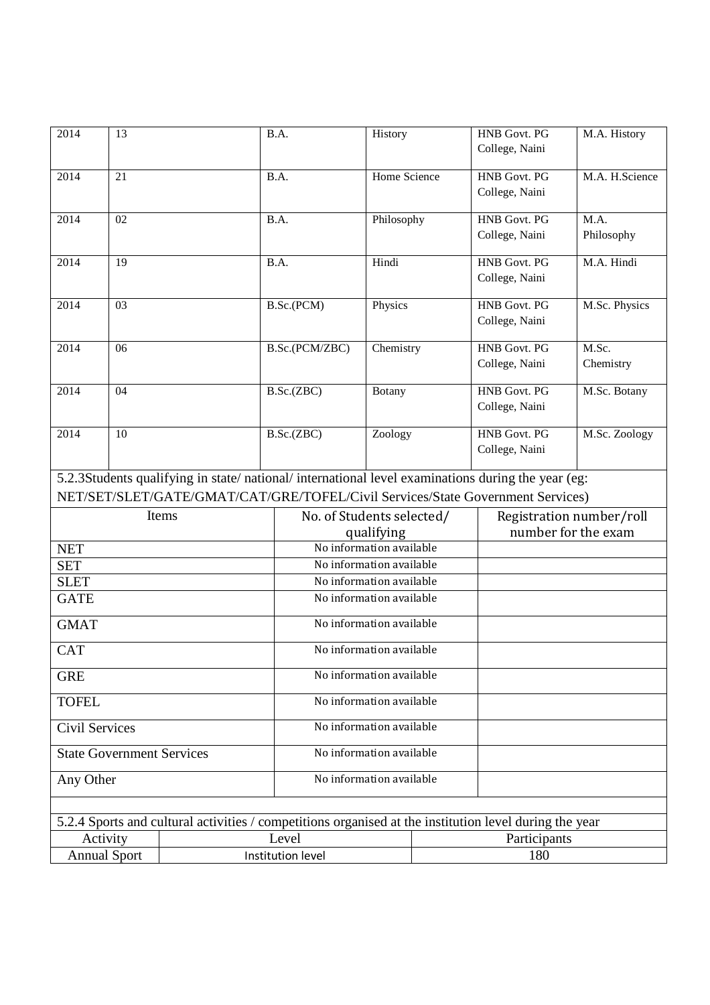| 2014                                     | 13 |                                                                                                        | B.A.                      | History      |     | <b>HNB Govt. PG</b><br>College, Naini | M.A. History   |  |
|------------------------------------------|----|--------------------------------------------------------------------------------------------------------|---------------------------|--------------|-----|---------------------------------------|----------------|--|
|                                          |    |                                                                                                        |                           |              |     |                                       |                |  |
| 2014                                     | 21 |                                                                                                        | B.A.                      | Home Science |     | <b>HNB</b> Govt. PG<br>College, Naini | M.A. H.Science |  |
| 2014                                     | 02 |                                                                                                        | B.A.                      | Philosophy   |     | HNB Govt. PG                          | M.A.           |  |
|                                          |    |                                                                                                        |                           |              |     | College, Naini                        | Philosophy     |  |
| 2014                                     | 19 |                                                                                                        | B.A.                      | Hindi        |     | <b>HNB</b> Govt. PG                   | M.A. Hindi     |  |
|                                          |    |                                                                                                        |                           |              |     | College, Naini                        |                |  |
| 2014                                     | 03 |                                                                                                        | B.Sc.(PCM)                | Physics      |     | <b>HNB</b> Govt. PG                   | M.Sc. Physics  |  |
|                                          |    |                                                                                                        |                           |              |     | College, Naini                        |                |  |
| 2014                                     | 06 |                                                                                                        | B.Sc.(PCM/ZBC)            | Chemistry    |     | <b>HNB Govt. PG</b>                   | M.Sc.          |  |
|                                          |    |                                                                                                        |                           |              |     | College, Naini                        | Chemistry      |  |
| 2014                                     | 04 |                                                                                                        | B.Sc.(ZBC)                | Botany       |     | <b>HNB</b> Govt. PG                   | M.Sc. Botany   |  |
|                                          |    |                                                                                                        |                           |              |     | College, Naini                        |                |  |
| 2014                                     | 10 |                                                                                                        | B.Sc.(ZBC)                | Zoology      |     | <b>HNB</b> Govt. PG                   | M.Sc. Zoology  |  |
|                                          |    |                                                                                                        |                           |              |     | College, Naini                        |                |  |
|                                          |    | 5.2.3Students qualifying in state/national/international level examinations during the year (eg:       |                           |              |     |                                       |                |  |
|                                          |    | NET/SET/SLET/GATE/GMAT/CAT/GRE/TOFEL/Civil Services/State Government Services)                         |                           |              |     |                                       |                |  |
|                                          |    | Items                                                                                                  | No. of Students selected/ |              |     | Registration number/roll              |                |  |
|                                          |    |                                                                                                        |                           | qualifying   |     | number for the exam                   |                |  |
| <b>NET</b>                               |    |                                                                                                        | No information available  |              |     |                                       |                |  |
| <b>SET</b>                               |    |                                                                                                        | No information available  |              |     |                                       |                |  |
| <b>SLET</b>                              |    |                                                                                                        | No information available  |              |     |                                       |                |  |
| <b>GATE</b>                              |    |                                                                                                        | No information available  |              |     |                                       |                |  |
| <b>GMAT</b>                              |    |                                                                                                        | No information available  |              |     |                                       |                |  |
| <b>CAT</b>                               |    |                                                                                                        | No information available  |              |     |                                       |                |  |
| <b>GRE</b>                               |    | No information available                                                                               |                           |              |     |                                       |                |  |
| <b>TOFEL</b>                             |    |                                                                                                        | No information available  |              |     |                                       |                |  |
| Civil Services                           |    |                                                                                                        | No information available  |              |     |                                       |                |  |
| <b>State Government Services</b>         |    |                                                                                                        | No information available  |              |     |                                       |                |  |
| Any Other                                |    |                                                                                                        | No information available  |              |     |                                       |                |  |
|                                          |    |                                                                                                        |                           |              |     |                                       |                |  |
|                                          |    | 5.2.4 Sports and cultural activities / competitions organised at the institution level during the year |                           |              |     |                                       |                |  |
| Activity                                 |    |                                                                                                        | Level                     |              |     | Participants                          |                |  |
| <b>Annual Sport</b><br>Institution level |    |                                                                                                        |                           |              | 180 |                                       |                |  |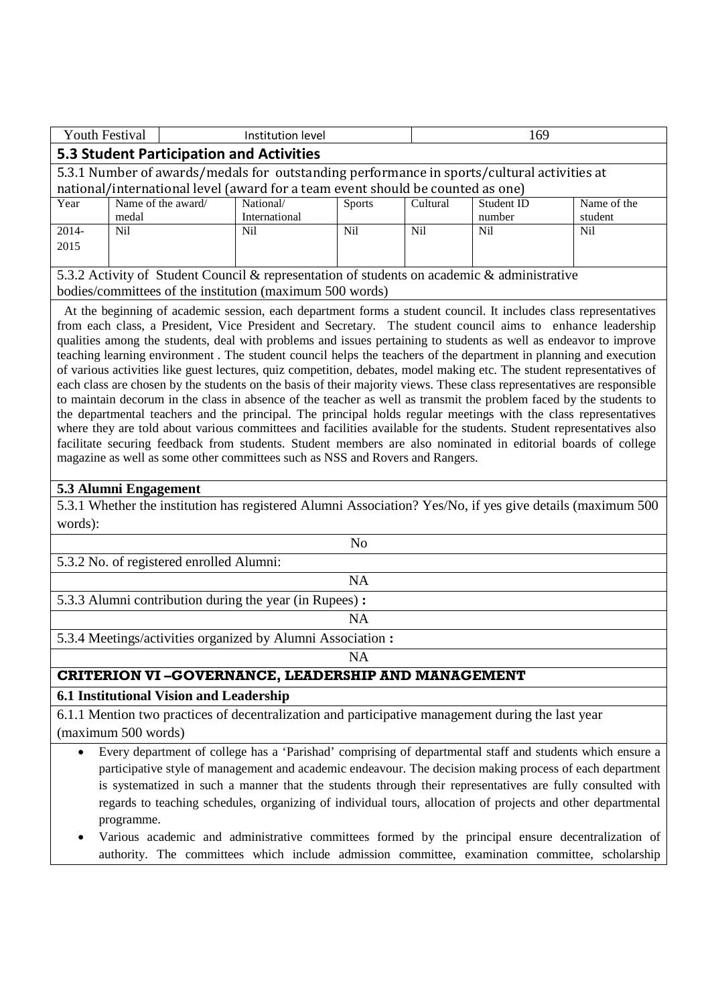| <b>Youth Festival</b>                                                                                                                                                                                                                                                                                                                                                                                                                                                                                                                                                                                                                                                                                                                                                                                                                                                                                                                                                                                                                                                                                                               |                             |  | Institution level                                                                                                                                                                                                                                                                                                      | 169           |            |                      |                        |
|-------------------------------------------------------------------------------------------------------------------------------------------------------------------------------------------------------------------------------------------------------------------------------------------------------------------------------------------------------------------------------------------------------------------------------------------------------------------------------------------------------------------------------------------------------------------------------------------------------------------------------------------------------------------------------------------------------------------------------------------------------------------------------------------------------------------------------------------------------------------------------------------------------------------------------------------------------------------------------------------------------------------------------------------------------------------------------------------------------------------------------------|-----------------------------|--|------------------------------------------------------------------------------------------------------------------------------------------------------------------------------------------------------------------------------------------------------------------------------------------------------------------------|---------------|------------|----------------------|------------------------|
|                                                                                                                                                                                                                                                                                                                                                                                                                                                                                                                                                                                                                                                                                                                                                                                                                                                                                                                                                                                                                                                                                                                                     |                             |  | <b>5.3 Student Participation and Activities</b>                                                                                                                                                                                                                                                                        |               |            |                      |                        |
|                                                                                                                                                                                                                                                                                                                                                                                                                                                                                                                                                                                                                                                                                                                                                                                                                                                                                                                                                                                                                                                                                                                                     |                             |  | 5.3.1 Number of awards/medals for outstanding performance in sports/cultural activities at                                                                                                                                                                                                                             |               |            |                      |                        |
|                                                                                                                                                                                                                                                                                                                                                                                                                                                                                                                                                                                                                                                                                                                                                                                                                                                                                                                                                                                                                                                                                                                                     |                             |  | national/international level (award for a team event should be counted as one)                                                                                                                                                                                                                                         |               |            |                      |                        |
| Year                                                                                                                                                                                                                                                                                                                                                                                                                                                                                                                                                                                                                                                                                                                                                                                                                                                                                                                                                                                                                                                                                                                                | Name of the award/<br>medal |  | National/<br>International                                                                                                                                                                                                                                                                                             | <b>Sports</b> | Cultural   | Student ID<br>number | Name of the<br>student |
| 2014-                                                                                                                                                                                                                                                                                                                                                                                                                                                                                                                                                                                                                                                                                                                                                                                                                                                                                                                                                                                                                                                                                                                               | Nil                         |  | N <sub>i</sub> l                                                                                                                                                                                                                                                                                                       | <b>Nil</b>    | <b>Nil</b> | Nil                  | Nil                    |
| 2015                                                                                                                                                                                                                                                                                                                                                                                                                                                                                                                                                                                                                                                                                                                                                                                                                                                                                                                                                                                                                                                                                                                                |                             |  |                                                                                                                                                                                                                                                                                                                        |               |            |                      |                        |
| 5.3.2 Activity of Student Council & representation of students on academic & administrative<br>bodies/committees of the institution (maximum 500 words)<br>At the beginning of academic session, each department forms a student council. It includes class representatives<br>from each class, a President, Vice President and Secretary. The student council aims to enhance leadership<br>qualities among the students, deal with problems and issues pertaining to students as well as endeavor to improve<br>teaching learning environment. The student council helps the teachers of the department in planning and execution<br>of various activities like guest lectures, quiz competition, debates, model making etc. The student representatives of<br>each class are chosen by the students on the basis of their majority views. These class representatives are responsible<br>to maintain decorum in the class in absence of the teacher as well as transmit the problem faced by the students to<br>the departmental teachers and the principal. The principal holds regular meetings with the class representatives |                             |  |                                                                                                                                                                                                                                                                                                                        |               |            |                      |                        |
|                                                                                                                                                                                                                                                                                                                                                                                                                                                                                                                                                                                                                                                                                                                                                                                                                                                                                                                                                                                                                                                                                                                                     |                             |  | where they are told about various committees and facilities available for the students. Student representatives also<br>facilitate securing feedback from students. Student members are also nominated in editorial boards of college<br>magazine as well as some other committees such as NSS and Rovers and Rangers. |               |            |                      |                        |

#### **5.3 Alumni Engagement**

5.3.1 Whether the institution has registered Alumni Association? Yes/No, if yes give details (maximum 500 words):

| No                                                         |  |  |  |  |  |
|------------------------------------------------------------|--|--|--|--|--|
| 5.3.2 No. of registered enrolled Alumni:                   |  |  |  |  |  |
| <b>NA</b>                                                  |  |  |  |  |  |
| 5.3.3 Alumni contribution during the year (in Rupees):     |  |  |  |  |  |
| NΑ                                                         |  |  |  |  |  |
| 5.3.4 Meetings/activities organized by Alumni Association: |  |  |  |  |  |
| <b>NA</b>                                                  |  |  |  |  |  |
| <b>CRITERION VI-GOVERNANCE, LEADERSHIP AND MANAGEMENT</b>  |  |  |  |  |  |
| 6.1 Institutional Vision and Leadership                    |  |  |  |  |  |

6.1.1 Mention two practices of decentralization and participative management during the last year (maximum 500 words)

 Every department of college has a 'Parishad' comprising of departmental staff and students which ensure a participative style of management and academic endeavour. The decision making process of each department is systematized in such a manner that the students through their representatives are fully consulted with regards to teaching schedules, organizing of individual tours, allocation of projects and other departmental programme.

 Various academic and administrative committees formed by the principal ensure decentralization of authority. The committees which include admission committee, examination committee, scholarship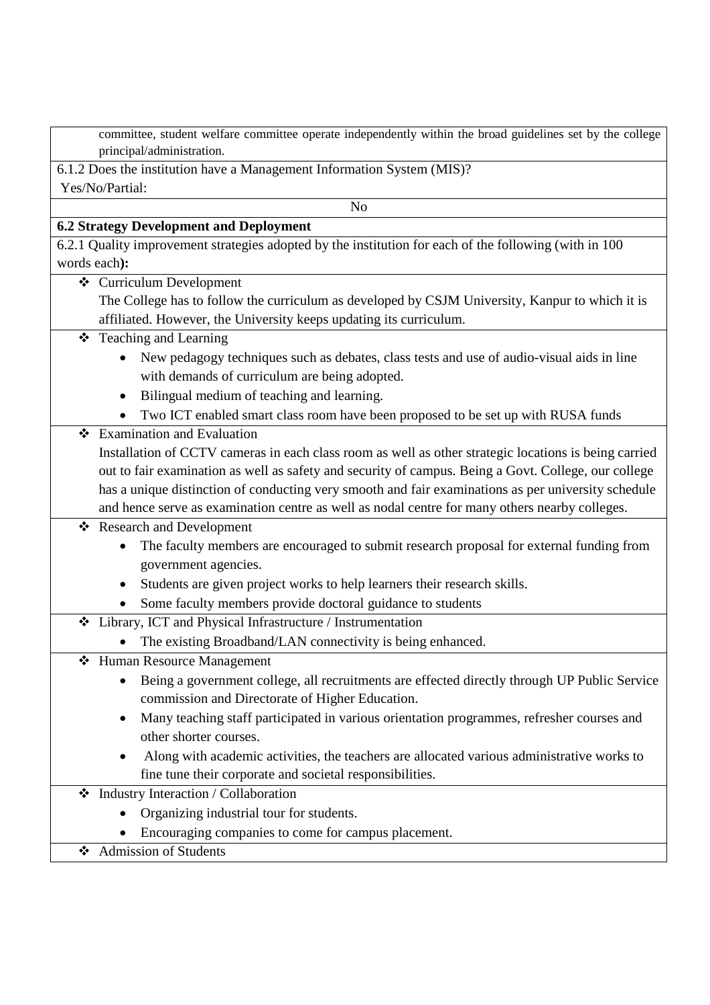| committee, student welfare committee operate independently within the broad guidelines set by the college |  |
|-----------------------------------------------------------------------------------------------------------|--|
| principal/administration.                                                                                 |  |

#### 6.1.2 Does the institution have a Management Information System (MIS)? Yes/No/Partial:

# **6.2 Strategy Development and Deployment**

No

- 6.2.1 Quality improvement strategies adopted by the institution for each of the following (with in 100 words each**):**
	- Curriculum Development
		- The College has to follow the curriculum as developed by CSJM University, Kanpur to which it is affiliated. However, the University keeps updating its curriculum.

## Teaching and Learning

- New pedagogy techniques such as debates, class tests and use of audio-visual aids in line with demands of curriculum are being adopted.
- Bilingual medium of teaching and learning.
- Two ICT enabled smart class room have been proposed to be set up with RUSA funds
- **❖** Examination and Evaluation Installation of CCTV cameras in each class room as well as other strategic locations is being carried out to fair examination as well as safety and security of campus. Being a Govt. College, our college has a unique distinction of conducting very smooth and fair examinations as per university schedule and hence serve as examination centre as well as nodal centre for many others nearby colleges.

Research and Development

- The faculty members are encouraged to submit research proposal for external funding from government agencies.
- Students are given project works to help learners their research skills.
- Some faculty members provide doctoral guidance to students
- Library, ICT and Physical Infrastructure / Instrumentation
	- The existing Broadband/LAN connectivity is being enhanced.
- Human Resource Management
	- Being a government college, all recruitments are effected directly through UP Public Service commission and Directorate of Higher Education.
	- Many teaching staff participated in various orientation programmes, refresher courses and other shorter courses.
	- Along with academic activities, the teachers are allocated various administrative works to fine tune their corporate and societal responsibilities.
- Industry Interaction / Collaboration
	- Organizing industrial tour for students.
	- Encouraging companies to come for campus placement.
	- Admission of Students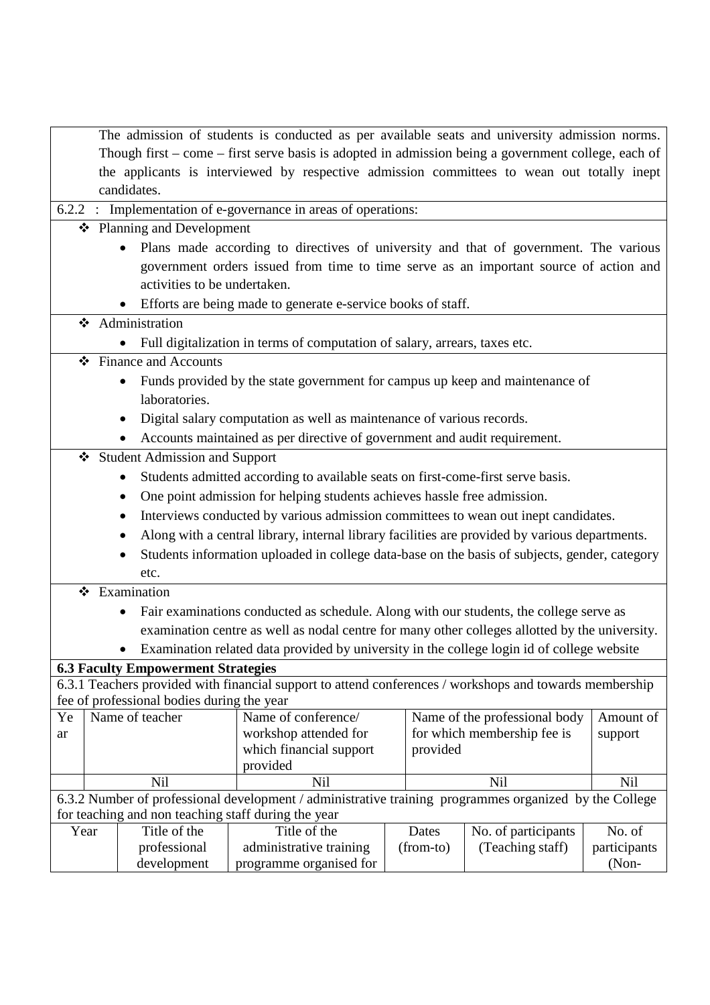|    |      |                                            | The admission of students is conducted as per available seats and university admission norms.           |           |                               |              |
|----|------|--------------------------------------------|---------------------------------------------------------------------------------------------------------|-----------|-------------------------------|--------------|
|    |      |                                            | Though first - come - first serve basis is adopted in admission being a government college, each of     |           |                               |              |
|    |      |                                            | the applicants is interviewed by respective admission committees to wean out totally inept              |           |                               |              |
|    |      | candidates.                                |                                                                                                         |           |                               |              |
|    |      |                                            | 6.2.2 : Implementation of e-governance in areas of operations:                                          |           |                               |              |
|    |      | ❖ Planning and Development                 |                                                                                                         |           |                               |              |
|    |      |                                            | Plans made according to directives of university and that of government. The various                    |           |                               |              |
|    |      |                                            | government orders issued from time to time serve as an important source of action and                   |           |                               |              |
|    |      | activities to be undertaken.               |                                                                                                         |           |                               |              |
|    |      |                                            | • Efforts are being made to generate e-service books of staff.                                          |           |                               |              |
|    | ❖    | Administration                             |                                                                                                         |           |                               |              |
|    |      |                                            | Full digitalization in terms of computation of salary, arrears, taxes etc.                              |           |                               |              |
|    |      | ❖ Finance and Accounts                     |                                                                                                         |           |                               |              |
|    |      | $\bullet$                                  | Funds provided by the state government for campus up keep and maintenance of                            |           |                               |              |
|    |      | laboratories.                              |                                                                                                         |           |                               |              |
|    |      |                                            | Digital salary computation as well as maintenance of various records.                                   |           |                               |              |
|    |      |                                            | Accounts maintained as per directive of government and audit requirement.                               |           |                               |              |
|    | ❖    | <b>Student Admission and Support</b>       |                                                                                                         |           |                               |              |
|    |      |                                            | Students admitted according to available seats on first-come-first serve basis.                         |           |                               |              |
|    |      |                                            | One point admission for helping students achieves hassle free admission.                                |           |                               |              |
|    |      | $\bullet$                                  | Interviews conducted by various admission committees to wean out inept candidates.                      |           |                               |              |
|    |      |                                            | Along with a central library, internal library facilities are provided by various departments.          |           |                               |              |
|    |      |                                            | Students information uploaded in college data-base on the basis of subjects, gender, category           |           |                               |              |
|    |      | etc.                                       |                                                                                                         |           |                               |              |
|    |      | ❖ Examination                              |                                                                                                         |           |                               |              |
|    |      |                                            | Fair examinations conducted as schedule. Along with our students, the college serve as                  |           |                               |              |
|    |      |                                            | examination centre as well as nodal centre for many other colleges allotted by the university.          |           |                               |              |
|    |      |                                            | Examination related data provided by university in the college login id of college website              |           |                               |              |
|    |      | <b>6.3 Faculty Empowerment Strategies</b>  |                                                                                                         |           |                               |              |
|    |      |                                            | 6.3.1 Teachers provided with financial support to attend conferences / workshops and towards membership |           |                               |              |
|    |      | fee of professional bodies during the year |                                                                                                         |           |                               |              |
| Ye |      | Name of teacher                            | Name of conference/                                                                                     |           | Name of the professional body | Amount of    |
| ar |      |                                            | workshop attended for                                                                                   |           | for which membership fee is   | support      |
|    |      |                                            | which financial support<br>provided                                                                     | provided  |                               |              |
|    |      | Nil                                        | Nil                                                                                                     |           | <b>Nil</b>                    | Nil          |
|    |      |                                            | 6.3.2 Number of professional development / administrative training programmes organized by the College  |           |                               |              |
|    |      |                                            | for teaching and non teaching staff during the year                                                     |           |                               |              |
|    | Year | Title of the                               | Title of the                                                                                            | Dates     | No. of participants           | No. of       |
|    |      | professional                               | administrative training                                                                                 | (from-to) | (Teaching staff)              | participants |
|    |      | development                                | programme organised for                                                                                 |           |                               | (Non-        |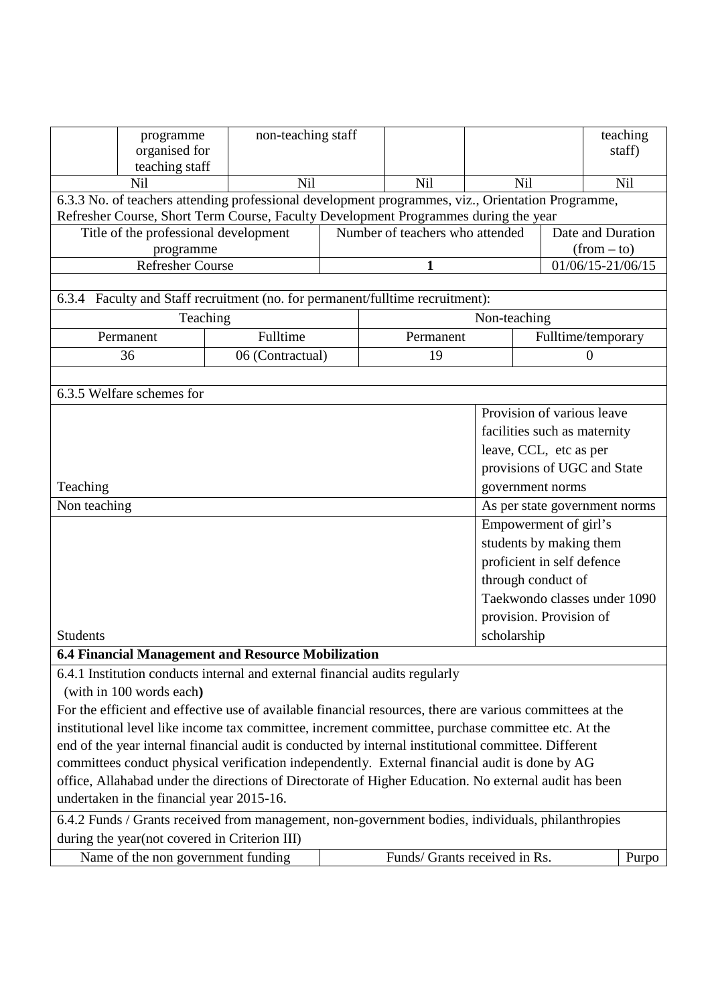|                 | programme<br>organised for<br>teaching staff                                                              | non-teaching staff |                                 |                              |                              | teaching<br>staff)            |  |
|-----------------|-----------------------------------------------------------------------------------------------------------|--------------------|---------------------------------|------------------------------|------------------------------|-------------------------------|--|
|                 | Nil                                                                                                       | <b>Nil</b>         | <b>Nil</b>                      | <b>Nil</b>                   |                              | <b>Nil</b>                    |  |
|                 | 6.3.3 No. of teachers attending professional development programmes, viz., Orientation Programme,         |                    |                                 |                              |                              |                               |  |
|                 | Refresher Course, Short Term Course, Faculty Development Programmes during the year                       |                    |                                 |                              |                              |                               |  |
|                 | Title of the professional development                                                                     |                    | Number of teachers who attended |                              |                              | Date and Duration             |  |
|                 | programme                                                                                                 |                    |                                 |                              |                              | $(from - to)$                 |  |
|                 | <b>Refresher Course</b>                                                                                   |                    | 1                               |                              |                              | $01/06/15 - 21/06/15$         |  |
|                 | 6.3.4 Faculty and Staff recruitment (no. for permanent/fulltime recruitment):                             |                    |                                 |                              |                              |                               |  |
|                 | Teaching                                                                                                  |                    |                                 | Non-teaching                 |                              |                               |  |
|                 | Permanent                                                                                                 | Fulltime           | Permanent                       |                              |                              | Fulltime/temporary            |  |
|                 | 36                                                                                                        | 06 (Contractual)   | 19                              |                              |                              | 0                             |  |
|                 |                                                                                                           |                    |                                 |                              |                              |                               |  |
|                 | 6.3.5 Welfare schemes for                                                                                 |                    |                                 |                              |                              |                               |  |
|                 |                                                                                                           |                    |                                 |                              | Provision of various leave   |                               |  |
|                 |                                                                                                           |                    |                                 |                              | facilities such as maternity |                               |  |
|                 |                                                                                                           |                    |                                 |                              | leave, CCL, etc as per       |                               |  |
|                 |                                                                                                           |                    |                                 |                              |                              | provisions of UGC and State   |  |
| Teaching        |                                                                                                           |                    |                                 |                              | government norms             |                               |  |
| Non teaching    |                                                                                                           |                    |                                 |                              |                              | As per state government norms |  |
|                 |                                                                                                           |                    |                                 |                              | Empowerment of girl's        |                               |  |
|                 |                                                                                                           |                    |                                 |                              | students by making them      |                               |  |
|                 |                                                                                                           |                    |                                 |                              | proficient in self defence   |                               |  |
|                 |                                                                                                           |                    |                                 |                              | through conduct of           |                               |  |
|                 |                                                                                                           |                    |                                 | Taekwondo classes under 1090 |                              |                               |  |
|                 |                                                                                                           |                    |                                 |                              | provision. Provision of      |                               |  |
| <b>Students</b> |                                                                                                           |                    |                                 | scholarship                  |                              |                               |  |
|                 | 6.4 Financial Management and Resource Mobilization                                                        |                    |                                 |                              |                              |                               |  |
|                 | 6.4.1 Institution conducts internal and external financial audits regularly                               |                    |                                 |                              |                              |                               |  |
|                 | (with in 100 words each)                                                                                  |                    |                                 |                              |                              |                               |  |
|                 | For the efficient and effective use of available financial resources, there are various committees at the |                    |                                 |                              |                              |                               |  |
|                 | institutional level like income tax committee, increment committee, purchase committee etc. At the        |                    |                                 |                              |                              |                               |  |
|                 | end of the year internal financial audit is conducted by internal institutional committee. Different      |                    |                                 |                              |                              |                               |  |
|                 | committees conduct physical verification independently. External financial audit is done by AG            |                    |                                 |                              |                              |                               |  |
|                 | office, Allahabad under the directions of Directorate of Higher Education. No external audit has been     |                    |                                 |                              |                              |                               |  |
|                 | undertaken in the financial year 2015-16.                                                                 |                    |                                 |                              |                              |                               |  |
|                 | 6.4.2 Funds / Grants received from management, non-government bodies, individuals, philanthropies         |                    |                                 |                              |                              |                               |  |
|                 | during the year(not covered in Criterion III)                                                             |                    |                                 |                              |                              |                               |  |
|                 | Name of the non government funding                                                                        |                    | Funds/ Grants received in Rs.   |                              |                              | Purpo                         |  |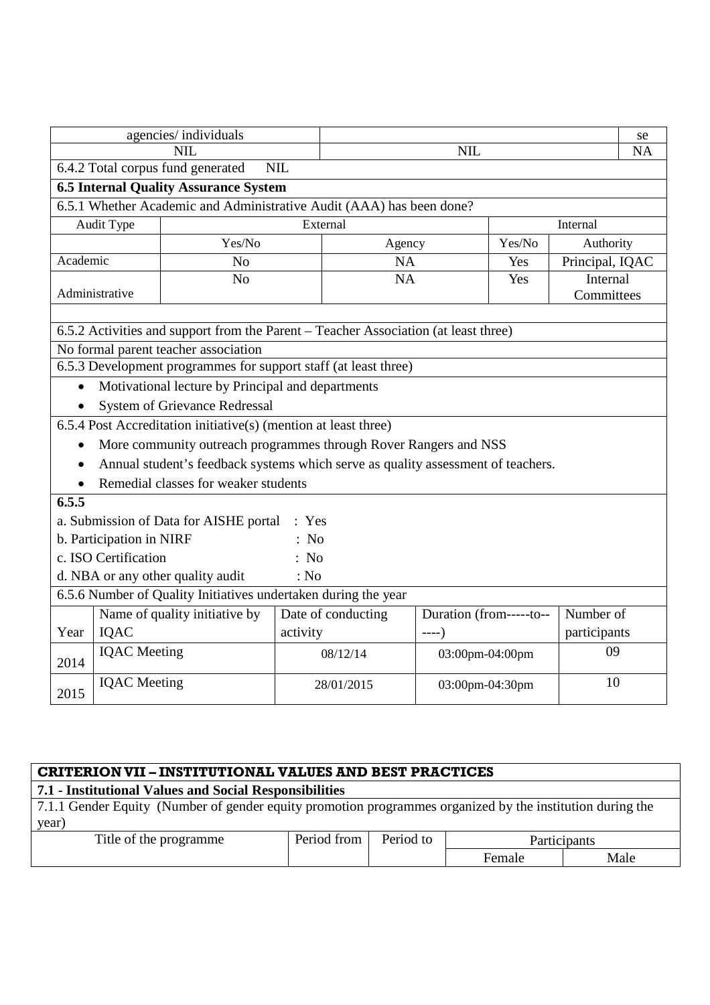|           |                          | agencies/individuals                              |                                                                                     |                         |                        | se |
|-----------|--------------------------|---------------------------------------------------|-------------------------------------------------------------------------------------|-------------------------|------------------------|----|
|           |                          | <b>NIL</b>                                        |                                                                                     | <b>NIL</b>              |                        |    |
|           |                          | 6.4.2 Total corpus fund generated                 | <b>NIL</b>                                                                          |                         |                        |    |
|           |                          | <b>6.5 Internal Quality Assurance System</b>      |                                                                                     |                         |                        |    |
|           |                          |                                                   | 6.5.1 Whether Academic and Administrative Audit (AAA) has been done?                |                         |                        |    |
|           | Audit Type               |                                                   | External                                                                            |                         | Internal               |    |
|           |                          | Yes/No                                            | Agency                                                                              | Yes/No                  | Authority              |    |
| Academic  |                          | N <sub>o</sub>                                    | <b>NA</b>                                                                           | Yes                     | Principal, IQAC        |    |
|           | Administrative           | N <sub>o</sub>                                    | <b>NA</b>                                                                           | Yes                     | Internal<br>Committees |    |
|           |                          |                                                   |                                                                                     |                         |                        |    |
|           |                          |                                                   | 6.5.2 Activities and support from the Parent - Teacher Association (at least three) |                         |                        |    |
|           |                          | No formal parent teacher association              |                                                                                     |                         |                        |    |
|           |                          |                                                   | 6.5.3 Development programmes for support staff (at least three)                     |                         |                        |    |
| $\bullet$ |                          | Motivational lecture by Principal and departments |                                                                                     |                         |                        |    |
|           |                          | <b>System of Grievance Redressal</b>              |                                                                                     |                         |                        |    |
|           |                          |                                                   | 6.5.4 Post Accreditation initiative(s) (mention at least three)                     |                         |                        |    |
|           |                          |                                                   | More community outreach programmes through Rover Rangers and NSS                    |                         |                        |    |
|           |                          |                                                   | Annual student's feedback systems which serve as quality assessment of teachers.    |                         |                        |    |
|           |                          | Remedial classes for weaker students              |                                                                                     |                         |                        |    |
| 6.5.5     |                          |                                                   |                                                                                     |                         |                        |    |
|           |                          | a. Submission of Data for AISHE portal            | : Yes                                                                               |                         |                        |    |
|           | b. Participation in NIRF |                                                   | : No                                                                                |                         |                        |    |
|           | c. ISO Certification     |                                                   | : No                                                                                |                         |                        |    |
|           |                          | d. NBA or any other quality audit                 | : No                                                                                |                         |                        |    |
|           |                          |                                                   | 6.5.6 Number of Quality Initiatives undertaken during the year                      |                         |                        |    |
|           |                          | Name of quality initiative by                     | Date of conducting                                                                  | Duration (from-----to-- | Number of              |    |
| Year      | <b>IQAC</b>              |                                                   | activity                                                                            | $---)$                  | participants           |    |
| 2014      | <b>IQAC</b> Meeting      |                                                   | 08/12/14                                                                            | 03:00pm-04:00pm         | 09                     |    |
| 2015      | <b>IQAC</b> Meeting      |                                                   | 28/01/2015                                                                          | 03:00pm-04:30pm         | 10                     |    |

| <b>CRITERION VII - INSTITUTIONAL VALUES AND BEST PRACTICES</b>                                                     |             |           |              |      |  |  |  |
|--------------------------------------------------------------------------------------------------------------------|-------------|-----------|--------------|------|--|--|--|
| 7.1 - Institutional Values and Social Responsibilities                                                             |             |           |              |      |  |  |  |
| 7.1.1 Gender Equity (Number of gender equity promotion programmes organized by the institution during the<br>year) |             |           |              |      |  |  |  |
| Title of the programme                                                                                             | Period from | Period to | Participants |      |  |  |  |
|                                                                                                                    |             |           | Female       | Male |  |  |  |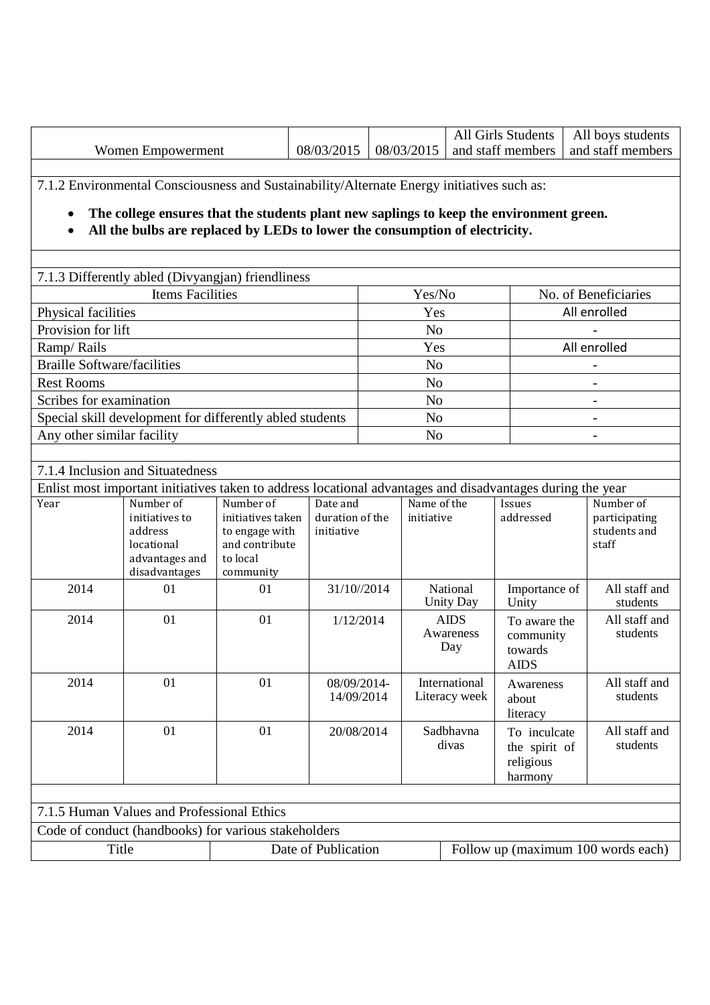|                                    |                                                                                                                                                                                                                                                                      |                                                                                |                               |                           |                    |                                    | All Girls Students                                    |                      | All boys students                      |
|------------------------------------|----------------------------------------------------------------------------------------------------------------------------------------------------------------------------------------------------------------------------------------------------------------------|--------------------------------------------------------------------------------|-------------------------------|---------------------------|--------------------|------------------------------------|-------------------------------------------------------|----------------------|----------------------------------------|
| Women Empowerment                  |                                                                                                                                                                                                                                                                      |                                                                                | 08/03/2015                    |                           | 08/03/2015         |                                    | and staff members                                     |                      | and staff members                      |
| $\bullet$<br>$\bullet$             | 7.1.2 Environmental Consciousness and Sustainability/Alternate Energy initiatives such as:<br>The college ensures that the students plant new saplings to keep the environment green.<br>All the bulbs are replaced by LEDs to lower the consumption of electricity. |                                                                                |                               |                           |                    |                                    |                                                       |                      |                                        |
|                                    | 7.1.3 Differently abled (Divyangjan) friendliness                                                                                                                                                                                                                    |                                                                                |                               |                           |                    |                                    |                                                       |                      |                                        |
| <b>Items Facilities</b>            |                                                                                                                                                                                                                                                                      |                                                                                |                               |                           | Yes/No             |                                    |                                                       | No. of Beneficiaries |                                        |
| Physical facilities                |                                                                                                                                                                                                                                                                      |                                                                                |                               | Yes                       |                    |                                    | All enrolled                                          |                      |                                        |
| Provision for lift                 |                                                                                                                                                                                                                                                                      |                                                                                |                               | N <sub>o</sub>            |                    |                                    |                                                       |                      |                                        |
| Ramp/Rails                         |                                                                                                                                                                                                                                                                      |                                                                                |                               | Yes                       |                    |                                    | All enrolled                                          |                      |                                        |
| <b>Braille Software/facilities</b> |                                                                                                                                                                                                                                                                      |                                                                                |                               | N <sub>o</sub>            |                    |                                    | $\blacksquare$                                        |                      |                                        |
| <b>Rest Rooms</b>                  |                                                                                                                                                                                                                                                                      |                                                                                |                               | N <sub>o</sub>            |                    |                                    |                                                       |                      |                                        |
| Scribes for examination            |                                                                                                                                                                                                                                                                      |                                                                                |                               | N <sub>o</sub>            |                    |                                    |                                                       |                      |                                        |
|                                    | Special skill development for differently abled students                                                                                                                                                                                                             |                                                                                |                               | N <sub>o</sub>            |                    |                                    | $\overline{\phantom{a}}$                              |                      |                                        |
| Any other similar facility         |                                                                                                                                                                                                                                                                      |                                                                                |                               | N <sub>o</sub>            |                    |                                    |                                                       |                      |                                        |
| Year                               | 7.1.4 Inclusion and Situatedness<br>Enlist most important initiatives taken to address locational advantages and disadvantages during the year<br>Number of                                                                                                          | Number of                                                                      | Date and                      |                           | Name of the        |                                    | Issues                                                |                      | Number of                              |
|                                    | initiatives to<br>address<br>locational<br>advantages and<br>disadvantages                                                                                                                                                                                           | initiatives taken<br>to engage with<br>and contribute<br>to local<br>community | duration of the<br>initiative |                           | initiative         |                                    | addressed                                             |                      | participating<br>students and<br>staff |
| 2014                               | 01                                                                                                                                                                                                                                                                   | 01                                                                             |                               | 31/10//2014               |                    | National<br><b>Unity Day</b>       | Importance of<br>Unity                                |                      | All staff and<br>students              |
| 2014                               | 01                                                                                                                                                                                                                                                                   | 01                                                                             |                               | 1/12/2014                 |                    | <b>AIDS</b><br>Awareness<br>Day    |                                                       | To aware the         | All staff and<br>students              |
| 2014                               | 01                                                                                                                                                                                                                                                                   | 01                                                                             |                               | 08/09/2014-<br>14/09/2014 |                    | International<br>Literacy week     | Awareness<br>about<br>literacy                        |                      | All staff and<br>students              |
| 2014                               | 01                                                                                                                                                                                                                                                                   | 01                                                                             | 20/08/2014                    |                           | Sadbhavna<br>divas |                                    | To inculcate<br>the spirit of<br>religious<br>harmony |                      | All staff and<br>students              |
|                                    | 7.1.5 Human Values and Professional Ethics                                                                                                                                                                                                                           |                                                                                |                               |                           |                    |                                    |                                                       |                      |                                        |
|                                    | Code of conduct (handbooks) for various stakeholders                                                                                                                                                                                                                 |                                                                                |                               |                           |                    |                                    |                                                       |                      |                                        |
| Title                              |                                                                                                                                                                                                                                                                      | Date of Publication                                                            |                               |                           |                    | Follow up (maximum 100 words each) |                                                       |                      |                                        |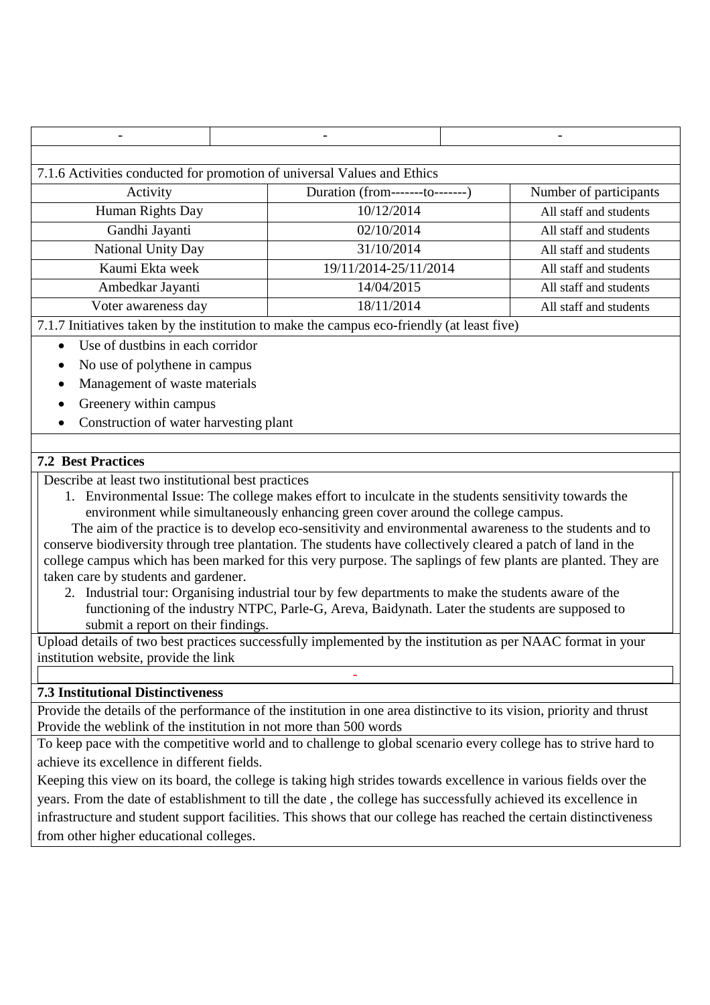|                                                                         |  |                                                                                             |  | $\overline{\phantom{0}}$ |  |
|-------------------------------------------------------------------------|--|---------------------------------------------------------------------------------------------|--|--------------------------|--|
|                                                                         |  |                                                                                             |  |                          |  |
| 7.1.6 Activities conducted for promotion of universal Values and Ethics |  |                                                                                             |  |                          |  |
| Activity                                                                |  | Duration (from--------to--------)                                                           |  | Number of participants   |  |
| Human Rights Day                                                        |  | 10/12/2014                                                                                  |  | All staff and students   |  |
| Gandhi Jayanti                                                          |  | 02/10/2014                                                                                  |  | All staff and students   |  |
| <b>National Unity Day</b>                                               |  | 31/10/2014                                                                                  |  | All staff and students   |  |
| Kaumi Ekta week                                                         |  | 19/11/2014-25/11/2014                                                                       |  | All staff and students   |  |
| Ambedkar Jayanti                                                        |  | 14/04/2015                                                                                  |  | All staff and students   |  |
| Voter awareness day                                                     |  | 18/11/2014                                                                                  |  | All staff and students   |  |
|                                                                         |  | 7.1.7 Initiatives tolera by the institution to make the commus eas friendly (ot least fixed |  |                          |  |

7.1.7 Initiatives taken by the institution to make the campus eco-friendly (at least five)

- Use of dustbins in each corridor
- No use of polythene in campus
- Management of waste materials
- Greenery within campus
- Construction of water harvesting plant

## **7.2 Best Practices**

Describe at least two institutional best practices

1. Environmental Issue: The college makes effort to inculcate in the students sensitivity towards the environment while simultaneously enhancing green cover around the college campus.

The aim of the practice is to develop eco-sensitivity and environmental awareness to the students and to conserve biodiversity through tree plantation. The students have collectively cleared a patch of land in the college campus which has been marked for this very purpose. The saplings of few plants are planted. They are taken care by students and gardener.

2. Industrial tour: Organising industrial tour by few departments to make the students aware of the functioning of the industry NTPC, Parle-G, Areva, Baidynath. Later the students are supposed to submit a report on their findings.

Upload details of two best practices successfully implemented by the institution as per NAAC format in your institution website, provide the link

-

## **7.3 Institutional Distinctiveness**

Provide the details of the performance of the institution in one area distinctive to its vision, priority and thrust Provide the weblink of the institution in not more than 500 words

To keep pace with the competitive world and to challenge to global scenario every college has to strive hard to achieve its excellence in different fields.

Keeping this view on its board, the college is taking high strides towards excellence in various fields over the years. From the date of establishment to till the date , the college has successfully achieved its excellence in infrastructure and student support facilities. This shows that our college has reached the certain distinctiveness from other higher educational colleges.